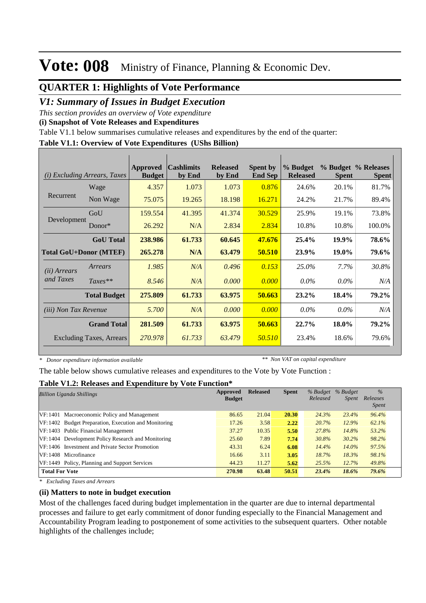#### **QUARTER 1: Highlights of Vote Performance**

#### *V1: Summary of Issues in Budget Execution*

*This section provides an overview of Vote expenditure* 

**(i) Snapshot of Vote Releases and Expenditures**

Table V1.1 below summarises cumulative releases and expenditures by the end of the quarter:

#### **Table V1.1: Overview of Vote Expenditures (UShs Billion)**

| (i)                          | <b>Excluding Arrears, Taxes</b> | Approved<br><b>Budget</b> | <b>Cashlimits</b><br>by End | <b>Released</b><br>by End | <b>Spent by</b><br><b>End Sep</b> | % Budget<br><b>Released</b> | <b>Spent</b> | % Budget % Releases<br><b>Spent</b> |
|------------------------------|---------------------------------|---------------------------|-----------------------------|---------------------------|-----------------------------------|-----------------------------|--------------|-------------------------------------|
| Recurrent                    | Wage                            | 4.357                     | 1.073                       | 1.073                     | 0.876                             | 24.6%                       | 20.1%        | 81.7%                               |
|                              | Non Wage                        | 75.075                    | 19.265                      | 18.198                    | 16.271                            | 24.2%                       | 21.7%        | 89.4%                               |
|                              | GoU                             | 159.554                   | 41.395                      | 41.374                    | 30.529                            | 25.9%                       | 19.1%        | 73.8%                               |
| Development                  | $Donor*$                        | 26.292                    | N/A                         | 2.834                     | 2.834                             | 10.8%                       | 10.8%        | 100.0%                              |
|                              | <b>GoU</b> Total                | 238.986                   | 61.733                      | 60.645                    | 47.676                            | 25.4%                       | 19.9%        | 78.6%                               |
|                              | <b>Total GoU+Donor (MTEF)</b>   | 265.278                   | N/A                         | 63.479                    | 50.510                            | 23.9%                       | 19.0%        | 79.6%                               |
| ( <i>ii</i> ) Arrears        | Arrears                         | 1.985                     | N/A                         | 0.496                     | 0.153                             | 25.0%                       | 7.7%         | 30.8%                               |
| and Taxes                    | $Taxes**$                       | 8.546                     | N/A                         | 0.000                     | 0.000                             | $0.0\%$                     | $0.0\%$      | N/A                                 |
|                              | <b>Total Budget</b>             | 275.809                   | 61.733                      | 63.975                    | 50.663                            | 23.2%                       | 18.4%        | 79.2%                               |
| <i>(iii)</i> Non Tax Revenue |                                 | 5.700                     | N/A                         | 0.000                     | 0.000                             | $0.0\%$                     | $0.0\%$      | N/A                                 |
|                              | <b>Grand Total</b>              | 281.509                   | 61.733                      | 63.975                    | 50.663                            | 22.7%                       | 18.0%        | 79.2%                               |
|                              | <b>Excluding Taxes, Arrears</b> | 270.978                   | 61.733                      | 63.479                    | 50.510                            | 23.4%                       | 18.6%        | 79.6%                               |

*\* Donor expenditure information available*

*\*\* Non VAT on capital expenditure*

The table below shows cumulative releases and expenditures to the Vote by Vote Function :

#### **Table V1.2: Releases and Expenditure by Vote Function\***

| <b>Billion Uganda Shillings</b>                      | Approved<br><b>Budget</b> | <b>Released</b> | <b>Spent</b> | % Budget<br>Released | % Budget<br><i>Spent</i> | $\%$<br>Releases<br><i>Spent</i> |
|------------------------------------------------------|---------------------------|-----------------|--------------|----------------------|--------------------------|----------------------------------|
| VF:1401 Macroeconomic Policy and Management          | 86.65                     | 21.04           | 20.30        | 24.3%                | 23.4%                    | 96.4%                            |
| VF:1402 Budget Preparation, Execution and Monitoring | 17.26                     | 3.58            | 2.22         | 20.7%                | 12.9%                    | 62.1%                            |
| VF:1403 Public Financial Management                  | 37.27                     | 10.35           | 5.50         | 27.8%                | 14.8%                    | 53.2%                            |
| VF:1404 Development Policy Research and Monitoring   | 25.60                     | 7.89            | 7.74         | 30.8%                | 30.2%                    | 98.2%                            |
| VF:1406 Investment and Private Sector Promotion      | 43.31                     | 6.24            | 6.08         | 14.4%                | $14.0\%$                 | 97.5%                            |
| VF:1408 Microfinance                                 | 16.66                     | 3.11            | 3.05         | 18.7%                | 18.3%                    | 98.1%                            |
| VF: 1449 Policy, Planning and Support Services       | 44.23                     | 11.27           | 5.62         | 25.5%                | 12.7%                    | 49.8%                            |
| <b>Total For Vote</b>                                | 270.98                    | 63.48           | 50.51        | 23.4%                | 18.6%                    | 79.6%                            |

*\* Excluding Taxes and Arrears*

#### **(ii) Matters to note in budget execution**

Most of the challenges faced during budget implementation in the quarter are due to internal departmental processes and failure to get early commitment of donor funding especially to the Financial Management and Accountability Program leading to postponement of some activities to the subsequent quarters. Other notable highlights of the challenges include;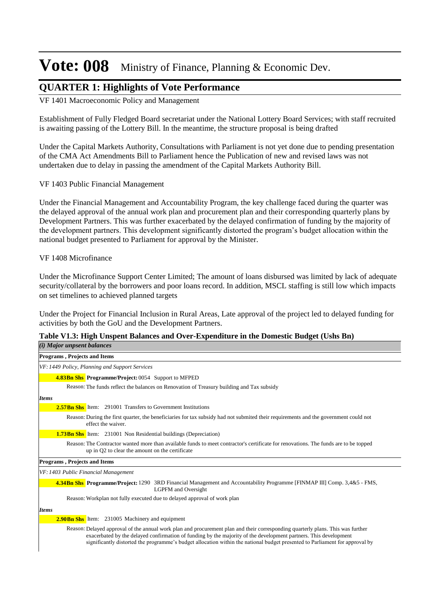### **QUARTER 1: Highlights of Vote Performance**

VF 1401 Macroeconomic Policy and Management

Establishment of Fully Fledged Board secretariat under the National Lottery Board Services; with staff recruited is awaiting passing of the Lottery Bill. In the meantime, the structure proposal is being drafted

Under the Capital Markets Authority, Consultations with Parliament is not yet done due to pending presentation of the CMA Act Amendments Bill to Parliament hence the Publication of new and revised laws was not undertaken due to delay in passing the amendment of the Capital Markets Authority Bill.

#### VF 1403 Public Financial Management

Under the Financial Management and Accountability Program, the key challenge faced during the quarter was the delayed approval of the annual work plan and procurement plan and their corresponding quarterly plans by Development Partners. This was further exacerbated by the delayed confirmation of funding by the majority of the development partners. This development significantly distorted the program's budget allocation within the national budget presented to Parliament for approval by the Minister.

#### VF 1408 Microfinance

Under the Microfinance Support Center Limited; The amount of loans disbursed was limited by lack of adequate security/collateral by the borrowers and poor loans record. In addition, MSCL staffing is still low which impacts on set timelines to achieved planned targets

Under the Project for Financial Inclusion in Rural Areas, Late approval of the project led to delayed funding for activities by both the GoU and the Development Partners.

#### **Table V1.3: High Unspent Balances and Over-Expenditure in the Domestic Budget (Ushs Bn)** *(i) Major unpsent balances*

| <i>i)</i> major anpochi batances                                                                                                                                                                                                                                                                                                                                                    |
|-------------------------------------------------------------------------------------------------------------------------------------------------------------------------------------------------------------------------------------------------------------------------------------------------------------------------------------------------------------------------------------|
| <b>Programs, Projects and Items</b>                                                                                                                                                                                                                                                                                                                                                 |
| VF: 1449 Policy, Planning and Support Services                                                                                                                                                                                                                                                                                                                                      |
| <b>4.83Bn Shs Programme/Project: 0054 Support to MFPED</b>                                                                                                                                                                                                                                                                                                                          |
| Reason: The funds reflect the balances on Renovation of Treasury building and Tax subsidy                                                                                                                                                                                                                                                                                           |
| <b>Items</b>                                                                                                                                                                                                                                                                                                                                                                        |
| <b>2.57Bn Shs</b> Item: 291001 Transfers to Government Institutions                                                                                                                                                                                                                                                                                                                 |
| Reason: During the first quarter, the beneficiaries for tax subsidy had not submited their requirements and the government could not<br>effect the waiver.                                                                                                                                                                                                                          |
| <b>1.73Bn Shs</b> Item: 231001 Non Residential buildings (Depreciation)                                                                                                                                                                                                                                                                                                             |
| Reason: The Contractor wanted more than available funds to meet contractor's certificate for renovations. The funds are to be topped<br>up in Q2 to clear the amount on the certificate                                                                                                                                                                                             |
| <b>Programs, Projects and Items</b>                                                                                                                                                                                                                                                                                                                                                 |
| VF: 1403 Public Financial Management                                                                                                                                                                                                                                                                                                                                                |
| 4.34Bn Shs Programme/Project: 1290 3RD Financial Management and Accountability Programme [FINMAP III] Comp. 3,4&5 - FMS,<br><b>LGPFM</b> and Oversight                                                                                                                                                                                                                              |
| Reason: Workplan not fully executed due to delayed approval of work plan                                                                                                                                                                                                                                                                                                            |
| <b>Items</b>                                                                                                                                                                                                                                                                                                                                                                        |
| <b>2.90Bn Shs</b> Item: 231005 Machinery and equipment                                                                                                                                                                                                                                                                                                                              |
| Reason: Delayed approval of the annual work plan and procurement plan and their corresponding quarterly plans. This was further<br>exacerbated by the delayed confirmation of funding by the majority of the development partners. This development<br>significantly distorted the programme's budget allocation within the national budget presented to Parliament for approval by |
|                                                                                                                                                                                                                                                                                                                                                                                     |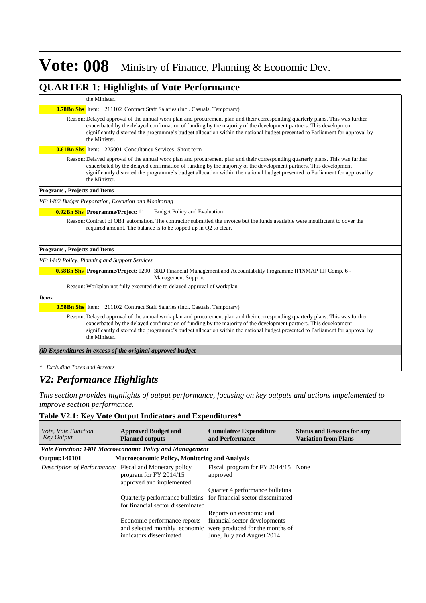#### **QUARTER 1: Highlights of Vote Performance**

#### the Minister.

**0.78Bn Shs** Item: 211102 Contract Staff Salaries (Incl. Casuals, Temporary)

Reason: Delayed approval of the annual work plan and procurement plan and their corresponding quarterly plans. This was further exacerbated by the delayed confirmation of funding by the majority of the development partners. This development significantly distorted the programme's budget allocation within the national budget presented to Parliament for approval by the Minister.

**0.61 Bn Shs** Item: 225001 Consultancy Services- Short term

Reason: Delayed approval of the annual work plan and procurement plan and their corresponding quarterly plans. This was further exacerbated by the delayed confirmation of funding by the majority of the development partners. This development significantly distorted the programme's budget allocation within the national budget presented to Parliament for approval by the Minister.

#### **Programs , Projects and Items**

*VF: 1402 Budget Preparation, Execution and Monitoring*

**0.92Bn Shs Programme/Project:** 11 Budget Policy and Evaluation

Reason: Contract of OBT automation. The contractor submitted the invoice but the funds available were insufficient to cover the required amount. The balance is to be topped up in Q2 to clear.

#### **Programs , Projects and Items**

*VF: 1449 Policy, Planning and Support Services*

**0.58Bn Shs Programme/Project:** 1290 3RD Financial Management and Accountability Programme [FINMAP III] Comp. 6 -Management Support

Reason: Workplan not fully executed due to delayed approval of workplan

#### *Items*

**0.58Bn Shs** Item: 211102 Contract Staff Salaries (Incl. Casuals, Temporary)

Reason: Delayed approval of the annual work plan and procurement plan and their corresponding quarterly plans. This was further exacerbated by the delayed confirmation of funding by the majority of the development partners. This development significantly distorted the programme's budget allocation within the national budget presented to Parliament for approval by the Minister.

*(ii) Expenditures in excess of the original approved budget*

*\* Excluding Taxes and Arrears*

### *V2: Performance Highlights*

*This section provides highlights of output performance, focusing on key outputs and actions impelemented to improve section performance.*

#### **Table V2.1: Key Vote Output Indicators and Expenditures\***

| <i>Vote, Vote Function</i><br><b>Key Output</b>        | <b>Approved Budget and</b><br><b>Planned outputs</b>    | <b>Cumulative Expenditure</b><br>and Performance                                                                              | <b>Status and Reasons for any</b><br><b>Variation from Plans</b> |
|--------------------------------------------------------|---------------------------------------------------------|-------------------------------------------------------------------------------------------------------------------------------|------------------------------------------------------------------|
|                                                        | Vote Function: 1401 Macroeconomic Policy and Management |                                                                                                                               |                                                                  |
| <b>Output: 140101</b>                                  | <b>Macroeconomic Policy, Monitoring and Analysis</b>    |                                                                                                                               |                                                                  |
| Description of Performance: Fiscal and Monetary policy | program for FY 2014/15<br>approved and implemented      | Fiscal program for FY 2014/15 None<br>approved                                                                                |                                                                  |
|                                                        |                                                         | Quarter 4 performance bulletins                                                                                               |                                                                  |
|                                                        | for financial sector disseminated                       | Quarterly performance bulletins for financial sector disseminated                                                             |                                                                  |
|                                                        |                                                         | Reports on economic and                                                                                                       |                                                                  |
|                                                        | Economic performance reports<br>indicators disseminated | financial sector developments<br>and selected monthly economic were produced for the months of<br>June, July and August 2014. |                                                                  |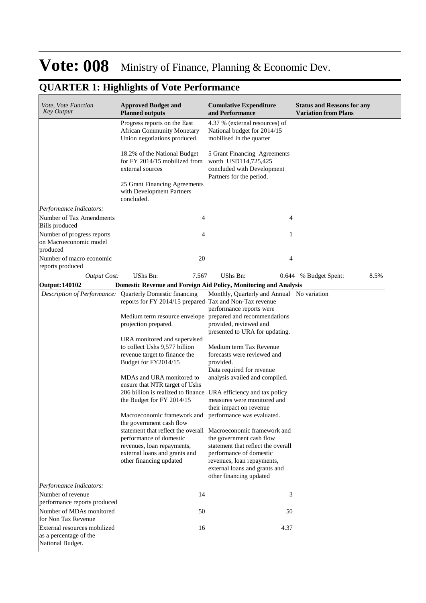| Vote, Vote Function<br><b>Key Output</b>             | <b>Approved Budget and</b><br><b>Planned outputs</b>                                                                | <b>Cumulative Expenditure</b><br>and Performance                                                               | <b>Status and Reasons for any</b><br><b>Variation from Plans</b> |
|------------------------------------------------------|---------------------------------------------------------------------------------------------------------------------|----------------------------------------------------------------------------------------------------------------|------------------------------------------------------------------|
|                                                      | Progress reports on the East<br><b>African Community Monetary</b><br>Union negotiations produced.                   | 4.37 % (external resources) of<br>National budget for 2014/15<br>mobilised in the quarter                      |                                                                  |
|                                                      | 18.2% of the National Budget<br>for FY 2014/15 mobilized from<br>external sources                                   | 5 Grant Financing Agreements<br>worth USD114,725,425<br>concluded with Development<br>Partners for the period. |                                                                  |
|                                                      | 25 Grant Financing Agreements<br>with Development Partners<br>concluded.                                            |                                                                                                                |                                                                  |
| Performance Indicators:                              |                                                                                                                     |                                                                                                                |                                                                  |
| Number of Tax Amendments<br><b>Bills</b> produced    | 4                                                                                                                   | 4                                                                                                              |                                                                  |
| Number of progress reports<br>on Macroeconomic model | 4                                                                                                                   | 1                                                                                                              |                                                                  |
| produced                                             |                                                                                                                     |                                                                                                                |                                                                  |
| Number of macro economic<br>reports produced         | 20                                                                                                                  | 4                                                                                                              |                                                                  |
| <b>Output Cost:</b>                                  | <b>UShs Bn:</b><br>7.567                                                                                            | UShs Bn:<br>0.644                                                                                              | 8.5%<br>% Budget Spent:                                          |
| <b>Output: 140102</b>                                | <b>Domestic Revenue and Foreign Aid Policy, Monitoring and Analysis</b>                                             |                                                                                                                |                                                                  |
|                                                      | Description of Performance: Quarterly Domestic financing<br>reports for FY 2014/15 prepared Tax and Non-Tax revenue | Monthly, Quarterly and Annual No variation                                                                     |                                                                  |
|                                                      | Medium term resource envelope prepared and recommendations                                                          | performance reports were                                                                                       |                                                                  |
|                                                      | projection prepared.                                                                                                | provided, reviewed and<br>presented to URA for updating.                                                       |                                                                  |
|                                                      | URA monitored and supervised                                                                                        |                                                                                                                |                                                                  |
|                                                      | to collect Ushs 9,577 billion                                                                                       | Medium term Tax Revenue                                                                                        |                                                                  |
|                                                      | revenue target to finance the                                                                                       | forecasts were reviewed and                                                                                    |                                                                  |
|                                                      | Budget for FY2014/15                                                                                                | provided.<br>Data required for revenue                                                                         |                                                                  |
|                                                      | MDAs and URA monitored to                                                                                           | analysis availed and compiled.                                                                                 |                                                                  |
|                                                      | ensure that NTR target of Ushs                                                                                      |                                                                                                                |                                                                  |
|                                                      | 206 billion is realized to finance URA efficiency and tax policy                                                    |                                                                                                                |                                                                  |
|                                                      | the Budget for FY 2014/15                                                                                           | measures were monitored and                                                                                    |                                                                  |
|                                                      | Macroeconomic framework and                                                                                         | their impact on revenue<br>performance was evaluated.                                                          |                                                                  |
|                                                      | the government cash flow                                                                                            |                                                                                                                |                                                                  |
|                                                      | statement that reflect the overall Macroeconomic framework and                                                      |                                                                                                                |                                                                  |
|                                                      | performance of domestic                                                                                             | the government cash flow                                                                                       |                                                                  |
|                                                      | revenues, loan repayments,<br>external loans and grants and                                                         | statement that reflect the overall<br>performance of domestic                                                  |                                                                  |
|                                                      | other financing updated                                                                                             | revenues, loan repayments,                                                                                     |                                                                  |
|                                                      |                                                                                                                     | external loans and grants and<br>other financing updated                                                       |                                                                  |
| Performance Indicators:                              |                                                                                                                     |                                                                                                                |                                                                  |
| Number of revenue                                    | 14                                                                                                                  | 3                                                                                                              |                                                                  |
| performance reports produced                         |                                                                                                                     |                                                                                                                |                                                                  |
| Number of MDAs monitored<br>for Non Tax Revenue      | 50                                                                                                                  | 50                                                                                                             |                                                                  |
| External resources mobilized                         | 16                                                                                                                  | 4.37                                                                                                           |                                                                  |
| as a percentage of the<br>National Budget.           |                                                                                                                     |                                                                                                                |                                                                  |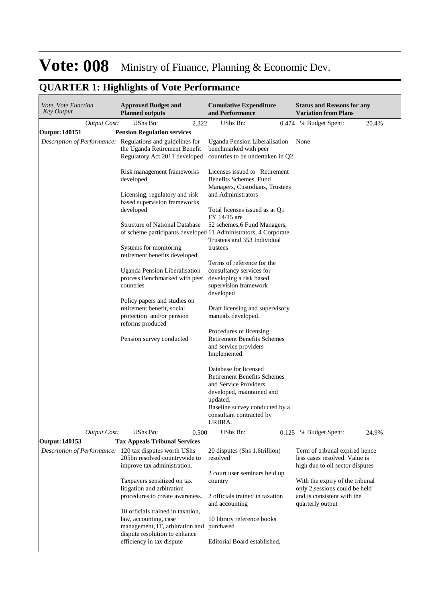| Vote, Vote Function<br><b>Key Output</b> | <b>Approved Budget and</b><br><b>Planned outputs</b>                                                                         | <b>Cumulative Expenditure</b><br>and Performance                                                                                                                                                      | <b>Status and Reasons for any</b><br><b>Variation from Plans</b>                                                   |
|------------------------------------------|------------------------------------------------------------------------------------------------------------------------------|-------------------------------------------------------------------------------------------------------------------------------------------------------------------------------------------------------|--------------------------------------------------------------------------------------------------------------------|
| <b>Output Cost:</b>                      | UShs Bn:<br>2.322                                                                                                            | UShs Bn:<br>0.474                                                                                                                                                                                     | % Budget Spent:<br>20.4%                                                                                           |
| Output: 140151                           | <b>Pension Regulation services</b>                                                                                           |                                                                                                                                                                                                       |                                                                                                                    |
|                                          | Description of Performance: Regulations and guidelines for<br>the Uganda Retirement Benefit<br>Regulatory Act 2011 developed | Uganda Pension Liberalisation<br>benchmarked with peer<br>countries to be undertaken in Q2                                                                                                            | None                                                                                                               |
|                                          | Risk management frameworks<br>developed                                                                                      | Licenses issued to Retirement<br>Benefits Schemes, Fund<br>Managers, Custodians, Trustees                                                                                                             |                                                                                                                    |
|                                          | Licensing, regulatory and risk<br>based supervision frameworks<br>developed                                                  | and Administrators<br>Total licenses issued as at Q1<br>FY 14/15 are                                                                                                                                  |                                                                                                                    |
|                                          | <b>Structure of National Database</b><br>of scheme participants developed 11 Administrators, 4 Corporate                     | 52 schemes, 6 Fund Managers,<br>Trustees and 353 Individual                                                                                                                                           |                                                                                                                    |
|                                          | Systems for monitoring<br>retirement benefits developed                                                                      | trustees                                                                                                                                                                                              |                                                                                                                    |
|                                          | Uganda Pension Liberalisation<br>process Benchmarked with peer<br>countries                                                  | Terms of reference for the<br>consultancy services for<br>developing a risk based<br>supervision framework<br>developed                                                                               |                                                                                                                    |
|                                          | Policy papers and studies on<br>retirement benefit, social<br>protection and/or pension<br>reforms produced                  | Draft licensing and supervisory<br>manuals developed.                                                                                                                                                 |                                                                                                                    |
|                                          | Pension survey conducted                                                                                                     | Procedures of licensing<br><b>Retirement Benefits Schemes</b><br>and service providers<br>Implemented.                                                                                                |                                                                                                                    |
| <b>Output Cost:</b>                      |                                                                                                                              | Database for licensed<br><b>Retirement Benefits Schemes</b><br>and Service Providers<br>developed, maintained and<br>updated.<br>Baseline survey conducted by a<br>consultant contracted by<br>URBRA. |                                                                                                                    |
|                                          | UShs Bn:<br>0.500                                                                                                            | UShs Bn:                                                                                                                                                                                              | 0.125 % Budget Spent:<br>24.9%                                                                                     |
| Output: 140153                           | <b>Tax Appeals Tribunal Services</b>                                                                                         |                                                                                                                                                                                                       |                                                                                                                    |
|                                          | Description of Performance: 120 tax disputes worth UShs<br>205bn resolved countrywide to<br>improve tax administration.      | 20 disputes (Shs 1.6trillion)<br>resolved                                                                                                                                                             | Term of tribunal expired hence<br>less cases resolved. Value is<br>high due to oil sector disputes                 |
|                                          | Taxpayers sensitized on tax<br>litigation and arbitration<br>procedures to create awareness.                                 | 2 court user seminars held up<br>country<br>2 officials trained in taxation<br>and accounting                                                                                                         | With the expiry of the tribunal<br>only 2 sessions could be held<br>and is consistent with the<br>quarterly output |
|                                          | 10 officials trained in taxation,                                                                                            |                                                                                                                                                                                                       |                                                                                                                    |
|                                          | law, accounting, case<br>management, IT, arbitration and<br>dispute resolution to enhance                                    | 10 library reference books<br>purchased                                                                                                                                                               |                                                                                                                    |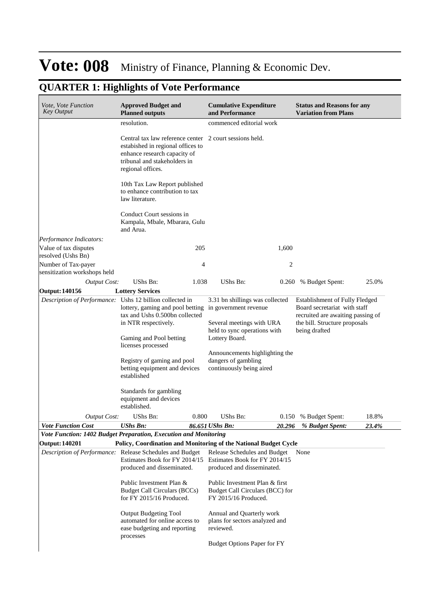| Vote, Vote Function<br><b>Key Output</b>                 | <b>Approved Budget and</b><br><b>Planned outputs</b>                                                                                                                              | <b>Cumulative Expenditure</b><br>and Performance                                                                          | <b>Status and Reasons for any</b><br><b>Variation from Plans</b>                                                    |
|----------------------------------------------------------|-----------------------------------------------------------------------------------------------------------------------------------------------------------------------------------|---------------------------------------------------------------------------------------------------------------------------|---------------------------------------------------------------------------------------------------------------------|
|                                                          | resolution.                                                                                                                                                                       | commenced editorial work                                                                                                  |                                                                                                                     |
|                                                          | Central tax law reference center 2 court sessions held.<br>estabished in regional offices to<br>enhance research capacity of<br>tribunal and stakeholders in<br>regional offices. |                                                                                                                           |                                                                                                                     |
|                                                          | 10th Tax Law Report published<br>to enhance contribution to tax<br>law literature.                                                                                                |                                                                                                                           |                                                                                                                     |
|                                                          | Conduct Court sessions in<br>Kampala, Mbale, Mbarara, Gulu<br>and Arua.                                                                                                           |                                                                                                                           |                                                                                                                     |
| Performance Indicators:                                  |                                                                                                                                                                                   |                                                                                                                           |                                                                                                                     |
| Value of tax disputes<br>resolved (Ushs Bn)              | 205                                                                                                                                                                               | 1,600                                                                                                                     |                                                                                                                     |
| Number of Tax-payer<br>sensitization workshops held      | 4                                                                                                                                                                                 | 2                                                                                                                         |                                                                                                                     |
| <b>Output Cost:</b>                                      | UShs Bn:                                                                                                                                                                          | UShs Bn:                                                                                                                  |                                                                                                                     |
| <b>Output: 140156</b>                                    | 1.038<br><b>Lottery Services</b>                                                                                                                                                  |                                                                                                                           | 0.260 % Budget Spent:<br>25.0%                                                                                      |
| Description of Performance: Ushs 12 billion collected in |                                                                                                                                                                                   |                                                                                                                           | Establishment of Fully Fledged                                                                                      |
|                                                          | lottery, gaming and pool betting in government revenue<br>tax and Ushs 0.500bn collected<br>in NTR respectively.<br>Gaming and Pool betting                                       | 3.31 bn shillings was collected<br>Several meetings with URA<br>held to sync operations with<br>Lottery Board.            | Board secretariat with staff<br>recruited are awaiting passing of<br>the bill. Structure proposals<br>being drafted |
|                                                          | licenses processed<br>Registry of gaming and pool<br>betting equipment and devices<br>established                                                                                 | Announcements highlighting the<br>dangers of gambling<br>continuously being aired                                         |                                                                                                                     |
|                                                          | Standards for gambling<br>equipment and devices<br>established.                                                                                                                   |                                                                                                                           |                                                                                                                     |
| <b>Output Cost:</b>                                      | UShs Bn:<br>0.800                                                                                                                                                                 | UShs Bn:                                                                                                                  | 18.8%<br>0.150 % Budget Spent:                                                                                      |
| <b>Vote Function Cost</b>                                | UShs Bn:                                                                                                                                                                          | 86.651 UShs Bn:<br>20.296                                                                                                 | % Budget Spent:<br>23.4%                                                                                            |
|                                                          | Vote Function: 1402 Budget Preparation, Execution and Monitoring                                                                                                                  |                                                                                                                           |                                                                                                                     |
| <b>Output: 140201</b>                                    | Policy, Coordination and Monitoring of the National Budget Cycle                                                                                                                  |                                                                                                                           |                                                                                                                     |
|                                                          | Description of Performance: Release Schedules and Budget<br>produced and disseminated.                                                                                            | Release Schedules and Budget<br>Estimates Book for FY 2014/15 Estimates Book for FY 2014/15<br>produced and disseminated. | None                                                                                                                |
|                                                          | Public Investment Plan &<br>Budget Call Circulars (BCCs)<br>for FY 2015/16 Produced.                                                                                              | Public Investment Plan & first<br>Budget Call Circulars (BCC) for<br>FY 2015/16 Produced.                                 |                                                                                                                     |
|                                                          | Output Budgeting Tool<br>automated for online access to<br>ease budgeting and reporting<br>processes                                                                              | Annual and Quarterly work<br>plans for sectors analyzed and<br>reviewed.                                                  |                                                                                                                     |
|                                                          |                                                                                                                                                                                   | <b>Budget Options Paper for FY</b>                                                                                        |                                                                                                                     |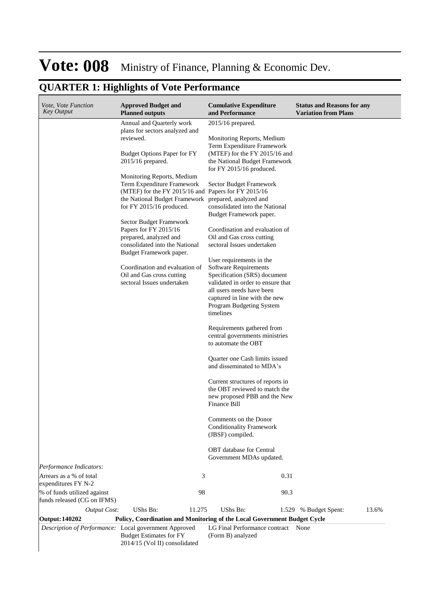| Vote, Vote Function<br><b>Key Output</b>                   | <b>Approved Budget and</b><br><b>Planned outputs</b>                                                                                                                                                                                                                                                                                                                                                                                                                                                                                                                               | <b>Cumulative Expenditure</b><br>and Performance                                                                                                                                                                                                                                                                                                                                                                                                                                                                                                                                                                                                                                                                                                                                                                                                                                                                                                                                                | <b>Status and Reasons for any</b><br><b>Variation from Plans</b> |
|------------------------------------------------------------|------------------------------------------------------------------------------------------------------------------------------------------------------------------------------------------------------------------------------------------------------------------------------------------------------------------------------------------------------------------------------------------------------------------------------------------------------------------------------------------------------------------------------------------------------------------------------------|-------------------------------------------------------------------------------------------------------------------------------------------------------------------------------------------------------------------------------------------------------------------------------------------------------------------------------------------------------------------------------------------------------------------------------------------------------------------------------------------------------------------------------------------------------------------------------------------------------------------------------------------------------------------------------------------------------------------------------------------------------------------------------------------------------------------------------------------------------------------------------------------------------------------------------------------------------------------------------------------------|------------------------------------------------------------------|
|                                                            | Annual and Quarterly work<br>plans for sectors analyzed and<br>reviewed.<br><b>Budget Options Paper for FY</b><br>2015/16 prepared.<br>Monitoring Reports, Medium<br>Term Expenditure Framework<br>(MTEF) for the FY 2015/16 and Papers for FY 2015/16<br>the National Budget Framework prepared, analyzed and<br>for FY 2015/16 produced.<br>Sector Budget Framework<br>Papers for FY 2015/16<br>prepared, analyzed and<br>consolidated into the National<br>Budget Framework paper.<br>Coordination and evaluation of<br>Oil and Gas cross cutting<br>sectoral Issues undertaken | 2015/16 prepared.<br>Monitoring Reports, Medium<br>Term Expenditure Framework<br>(MTEF) for the FY 2015/16 and<br>the National Budget Framework<br>for FY 2015/16 produced.<br>Sector Budget Framework<br>consolidated into the National<br>Budget Framework paper.<br>Coordination and evaluation of<br>Oil and Gas cross cutting<br>sectoral Issues undertaken<br>User requirements in the<br>Software Requirements<br>Specification (SRS) document<br>validated in order to ensure that<br>all users needs have been<br>captured in line with the new<br>Program Budgeting System<br>timelines<br>Requirements gathered from<br>central governments ministries<br>to automate the OBT<br>Quarter one Cash limits issued<br>and disseminated to MDA's<br>Current structures of reports in<br>the OBT reviewed to match the<br>new proposed PBB and the New<br>Finance Bill<br>Comments on the Donor<br><b>Conditionality Framework</b><br>(JBSF) compiled.<br><b>OBT</b> database for Central |                                                                  |
|                                                            |                                                                                                                                                                                                                                                                                                                                                                                                                                                                                                                                                                                    | Government MDAs updated.                                                                                                                                                                                                                                                                                                                                                                                                                                                                                                                                                                                                                                                                                                                                                                                                                                                                                                                                                                        |                                                                  |
| Performance Indicators:                                    |                                                                                                                                                                                                                                                                                                                                                                                                                                                                                                                                                                                    |                                                                                                                                                                                                                                                                                                                                                                                                                                                                                                                                                                                                                                                                                                                                                                                                                                                                                                                                                                                                 |                                                                  |
| Arrears as a % of total<br>expenditures FY N-2             | 3<br>98                                                                                                                                                                                                                                                                                                                                                                                                                                                                                                                                                                            | 0.31                                                                                                                                                                                                                                                                                                                                                                                                                                                                                                                                                                                                                                                                                                                                                                                                                                                                                                                                                                                            |                                                                  |
| % of funds utilized against<br>funds released (CG on IFMS) |                                                                                                                                                                                                                                                                                                                                                                                                                                                                                                                                                                                    | 90.3                                                                                                                                                                                                                                                                                                                                                                                                                                                                                                                                                                                                                                                                                                                                                                                                                                                                                                                                                                                            |                                                                  |
| <b>Output Cost:</b>                                        | UShs Bn:<br>11.275                                                                                                                                                                                                                                                                                                                                                                                                                                                                                                                                                                 | UShs Bn:                                                                                                                                                                                                                                                                                                                                                                                                                                                                                                                                                                                                                                                                                                                                                                                                                                                                                                                                                                                        | 13.6%<br>1.529 % Budget Spent:                                   |
| <b>Output: 140202</b>                                      | Policy, Coordination and Monitoring of the Local Government Budget Cycle                                                                                                                                                                                                                                                                                                                                                                                                                                                                                                           |                                                                                                                                                                                                                                                                                                                                                                                                                                                                                                                                                                                                                                                                                                                                                                                                                                                                                                                                                                                                 |                                                                  |
| Description of Performance: Local government Approved      | <b>Budget Estimates for FY</b><br>2014/15 (Vol II) consolidated                                                                                                                                                                                                                                                                                                                                                                                                                                                                                                                    | LG Final Performance contract None<br>(Form B) analyzed                                                                                                                                                                                                                                                                                                                                                                                                                                                                                                                                                                                                                                                                                                                                                                                                                                                                                                                                         |                                                                  |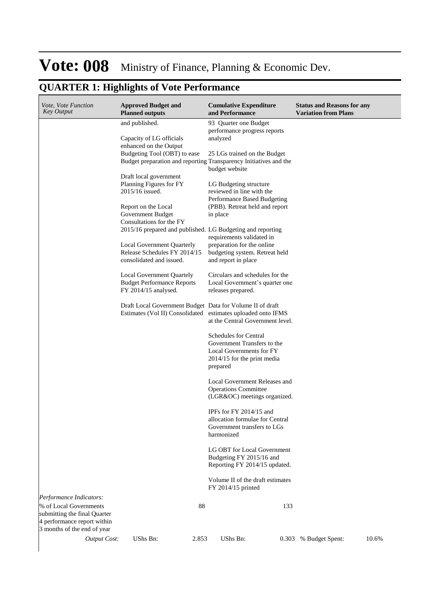| Vote, Vote Function<br><b>Key Output</b> | <b>Approved Budget and</b><br><b>Planned outputs</b>              | <b>Cumulative Expenditure</b><br>and Performance                                                  | <b>Status and Reasons for any</b><br><b>Variation from Plans</b> |
|------------------------------------------|-------------------------------------------------------------------|---------------------------------------------------------------------------------------------------|------------------------------------------------------------------|
|                                          | and published.                                                    | 93 Quarter one Budget                                                                             |                                                                  |
|                                          |                                                                   | performance progress reports                                                                      |                                                                  |
|                                          | Capacity of LG officials                                          | analyzed                                                                                          |                                                                  |
|                                          | enhanced on the Output<br>Budgeting Tool (OBT) to ease            |                                                                                                   |                                                                  |
|                                          |                                                                   | 25 LGs trained on the Budget<br>Budget preparation and reporting Transparency Initiatives and the |                                                                  |
|                                          |                                                                   | budget website                                                                                    |                                                                  |
|                                          | Draft local government                                            |                                                                                                   |                                                                  |
|                                          | Planning Figures for FY                                           | LG Budgeting structure                                                                            |                                                                  |
|                                          | 2015/16 issued.                                                   | reviewed in line with the<br>Performance Based Budgeting                                          |                                                                  |
|                                          | Report on the Local                                               | (PBB). Retreat held and report                                                                    |                                                                  |
|                                          | Government Budget                                                 | in place                                                                                          |                                                                  |
|                                          | Consultations for the FY                                          |                                                                                                   |                                                                  |
|                                          | 2015/16 prepared and published. LG Budgeting and reporting        |                                                                                                   |                                                                  |
|                                          |                                                                   | requirements validated in                                                                         |                                                                  |
|                                          | <b>Local Government Quarterly</b><br>Release Schedules FY 2014/15 | preparation for the online<br>budgeting system. Retreat held                                      |                                                                  |
|                                          | consolidated and issued.                                          | and report in place                                                                               |                                                                  |
|                                          |                                                                   |                                                                                                   |                                                                  |
|                                          | Local Government Quartely                                         | Circulars and schedules for the                                                                   |                                                                  |
|                                          | <b>Budget Performance Reports</b>                                 | Local Government's quarter one                                                                    |                                                                  |
|                                          | FY 2014/15 analysed.                                              | releases prepared.                                                                                |                                                                  |
|                                          | Draft Local Government Budget Data for Volume II of draft         |                                                                                                   |                                                                  |
|                                          | Estimates (Vol II) Consolidated estimates uploaded onto IFMS      |                                                                                                   |                                                                  |
|                                          |                                                                   | at the Central Government level.                                                                  |                                                                  |
|                                          |                                                                   |                                                                                                   |                                                                  |
|                                          |                                                                   | <b>Schedules for Central</b><br>Government Transfers to the                                       |                                                                  |
|                                          |                                                                   | Local Governments for FY                                                                          |                                                                  |
|                                          |                                                                   | 2014/15 for the print media                                                                       |                                                                  |
|                                          |                                                                   | prepared                                                                                          |                                                                  |
|                                          |                                                                   |                                                                                                   |                                                                  |
|                                          |                                                                   | Local Government Releases and<br><b>Operations Committee</b>                                      |                                                                  |
|                                          |                                                                   | (LGR&OC) meetings organized.                                                                      |                                                                  |
|                                          |                                                                   |                                                                                                   |                                                                  |
|                                          |                                                                   | IPFs for FY $2014/15$ and                                                                         |                                                                  |
|                                          |                                                                   | allocation formulae for Central                                                                   |                                                                  |
|                                          |                                                                   | Government transfers to LGs<br>harmonized                                                         |                                                                  |
|                                          |                                                                   |                                                                                                   |                                                                  |
|                                          |                                                                   | LG OBT for Local Government                                                                       |                                                                  |
|                                          |                                                                   | Budgeting FY 2015/16 and                                                                          |                                                                  |
|                                          |                                                                   | Reporting FY 2014/15 updated.                                                                     |                                                                  |
|                                          |                                                                   | Volume II of the draft estimates                                                                  |                                                                  |
|                                          |                                                                   | FY 2014/15 printed                                                                                |                                                                  |
| Performance Indicators:                  |                                                                   |                                                                                                   |                                                                  |
| % of Local Governments                   | 88                                                                | 133                                                                                               |                                                                  |
| submitting the final Quarter             |                                                                   |                                                                                                   |                                                                  |
| 4 performance report within              |                                                                   |                                                                                                   |                                                                  |
| 3 months of the end of year              |                                                                   |                                                                                                   |                                                                  |
| <b>Output Cost:</b>                      | UShs Bn:<br>2.853                                                 | UShs Bn:<br>0.303                                                                                 | % Budget Spent:<br>10.6%                                         |
|                                          |                                                                   |                                                                                                   |                                                                  |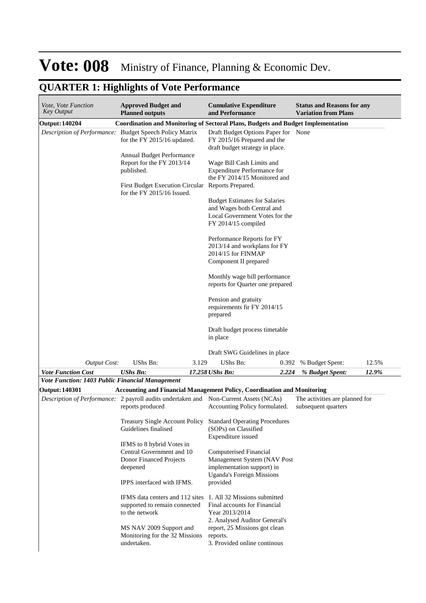| Vote, Vote Function<br><b>Key Output</b>               | <b>Approved Budget and</b><br><b>Planned outputs</b>                                                                | <b>Cumulative Expenditure</b><br>and Performance                                                                            |       | <b>Status and Reasons for any</b><br><b>Variation from Plans</b> |       |
|--------------------------------------------------------|---------------------------------------------------------------------------------------------------------------------|-----------------------------------------------------------------------------------------------------------------------------|-------|------------------------------------------------------------------|-------|
| <b>Output: 140204</b>                                  |                                                                                                                     | <b>Coordination and Monitoring of Sectoral Plans, Budgets and Budget Implementation</b>                                     |       |                                                                  |       |
|                                                        | Description of Performance: Budget Speech Policy Matrix<br>for the FY 2015/16 updated.<br>Annual Budget Performance | Draft Budget Options Paper for None<br>FY 2015/16 Prepared and the<br>draft budget strategy in place.                       |       |                                                                  |       |
|                                                        | Report for the FY 2013/14<br>published.                                                                             | Wage Bill Cash Limits and<br><b>Expenditure Performance for</b><br>the FY 2014/15 Monitored and                             |       |                                                                  |       |
|                                                        | First Budget Execution Circular Reports Prepared.<br>for the FY 2015/16 Issued.                                     |                                                                                                                             |       |                                                                  |       |
|                                                        |                                                                                                                     | <b>Budget Estimates for Salaries</b><br>and Wages both Central and<br>Local Government Votes for the<br>FY 2014/15 compiled |       |                                                                  |       |
|                                                        |                                                                                                                     | Performance Reports for FY<br>2013/14 and workplans for FY<br>2014/15 for FINMAP<br>Component II prepared                   |       |                                                                  |       |
|                                                        |                                                                                                                     | Monthly wage bill performance<br>reports for Quarter one prepared                                                           |       |                                                                  |       |
|                                                        |                                                                                                                     | Pension and gratuity<br>requirements fir FY 2014/15<br>prepared                                                             |       |                                                                  |       |
|                                                        |                                                                                                                     | Draft budget process timetable<br>in place                                                                                  |       |                                                                  |       |
|                                                        |                                                                                                                     | Draft SWG Guidelines in place                                                                                               |       |                                                                  |       |
| <b>Output Cost:</b>                                    | UShs Bn:<br>3.129                                                                                                   | UShs Bn:                                                                                                                    | 0.392 | % Budget Spent:                                                  | 12.5% |
| <b>Vote Function Cost</b>                              | <b>UShs Bn:</b>                                                                                                     | 17.258 UShs Bn:                                                                                                             | 2.224 | % Budget Spent:                                                  | 12.9% |
| <b>Vote Function: 1403 Public Financial Management</b> |                                                                                                                     |                                                                                                                             |       |                                                                  |       |
| <b>Output: 140301</b>                                  |                                                                                                                     | Accounting and Financial Management Policy, Coordination and Monitoring                                                     |       |                                                                  |       |
|                                                        | Description of Performance: 2 payroll audits undertaken and Non-Current Assets (NCAs)<br>reports produced           | Accounting Policy formulated.                                                                                               |       | The activities are planned for<br>subsequent quarters            |       |
|                                                        | <b>Treasury Single Account Policy</b><br>Guidelines finalised                                                       | <b>Standard Operating Procedures</b><br>(SOPs) on Classified<br>Expenditure issued                                          |       |                                                                  |       |
|                                                        | IFMS to 8 hybrid Votes in<br>Central Government and 10<br>Donor Financed Projects<br>deepened                       | <b>Computerised Financial</b><br>Management System (NAV Post<br>implementation support) in                                  |       |                                                                  |       |
|                                                        | IPPS interfaced with IFMS.                                                                                          | <b>Uganda's Foreign Missions</b><br>provided                                                                                |       |                                                                  |       |
|                                                        | IFMS data centers and 112 sites<br>supported to remain connected<br>to the network                                  | 1. All 32 Missions submitted<br>Final accounts for Financial<br>Year 2013/2014<br>2. Analysed Auditor General's             |       |                                                                  |       |
|                                                        | MS NAV 2009 Support and<br>Monitoring for the 32 Missions<br>undertaken.                                            | report, 25 Missions got clean<br>reports.<br>3. Provided online continous                                                   |       |                                                                  |       |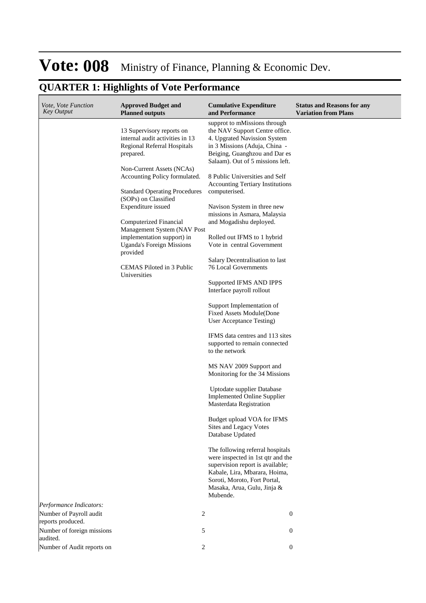| Vote, Vote Function<br><b>Key Output</b>     | <b>Approved Budget and</b><br><b>Planned outputs</b>                                                                                  | <b>Cumulative Expenditure</b><br>and Performance                                                                                                                                                                      | <b>Status and Reasons for any</b><br><b>Variation from Plans</b> |
|----------------------------------------------|---------------------------------------------------------------------------------------------------------------------------------------|-----------------------------------------------------------------------------------------------------------------------------------------------------------------------------------------------------------------------|------------------------------------------------------------------|
|                                              | 13 Supervisory reports on<br>internal audit activities in 13<br>Regional Referral Hospitals<br>prepared.<br>Non-Current Assets (NCAs) | supprot to mMissions through<br>the NAV Support Centre office.<br>4. Upgrated Navission System<br>in 3 Missions (Aduja, China -<br>Beiging, Guanghzou and Dar es<br>Salaam). Out of 5 missions left.                  |                                                                  |
|                                              | Accounting Policy formulated.<br><b>Standard Operating Procedures</b>                                                                 | 8 Public Universities and Self<br><b>Accounting Tertiary Institutions</b><br>computerised.                                                                                                                            |                                                                  |
|                                              | (SOPs) on Classified<br>Expenditure issued                                                                                            | Navison System in three new<br>missions in Asmara, Malaysia                                                                                                                                                           |                                                                  |
|                                              | Computerized Financial<br>Management System (NAV Post<br>implementation support) in                                                   | and Mogadishu deployed.<br>Rolled out IFMS to 1 hybrid                                                                                                                                                                |                                                                  |
|                                              | <b>Uganda's Foreign Missions</b><br>provided                                                                                          | Vote in central Government                                                                                                                                                                                            |                                                                  |
|                                              | CEMAS Piloted in 3 Public<br>Universities                                                                                             | Salary Decentralisation to last<br>76 Local Governments                                                                                                                                                               |                                                                  |
|                                              |                                                                                                                                       | Supported IFMS AND IPPS<br>Interface payroll rollout                                                                                                                                                                  |                                                                  |
|                                              |                                                                                                                                       | Support Implementation of<br><b>Fixed Assets Module(Done</b><br>User Acceptance Testing)                                                                                                                              |                                                                  |
|                                              |                                                                                                                                       | IFMS data centres and 113 sites<br>supported to remain connected<br>to the network                                                                                                                                    |                                                                  |
|                                              |                                                                                                                                       | MS NAV 2009 Support and<br>Monitoring for the 34 Missions                                                                                                                                                             |                                                                  |
|                                              |                                                                                                                                       | Uptodate supplier Database<br><b>Implemented Online Supplier</b><br>Masterdata Registration                                                                                                                           |                                                                  |
|                                              |                                                                                                                                       | Budget upload VOA for IFMS<br>Sites and Legacy Votes<br>Database Updated                                                                                                                                              |                                                                  |
|                                              |                                                                                                                                       | The following referral hospitals<br>were inspected in 1st qtr and the<br>supervision report is available;<br>Kabale, Lira, Mbarara, Hoima,<br>Soroti, Moroto, Fort Portal,<br>Masaka, Arua, Gulu, Jinja &<br>Mubende. |                                                                  |
| Performance Indicators:                      |                                                                                                                                       |                                                                                                                                                                                                                       |                                                                  |
| Number of Payroll audit<br>reports produced. | 2                                                                                                                                     | $\boldsymbol{0}$                                                                                                                                                                                                      |                                                                  |
| Number of foreign missions<br>audited.       | 5                                                                                                                                     | $\boldsymbol{0}$                                                                                                                                                                                                      |                                                                  |
| Number of Audit reports on                   | 2                                                                                                                                     | $\boldsymbol{0}$                                                                                                                                                                                                      |                                                                  |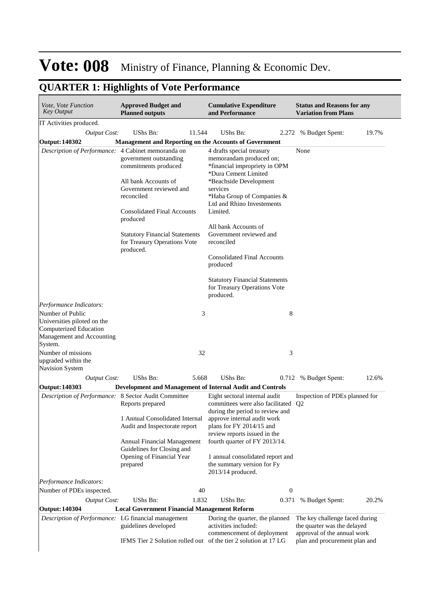| Vote, Vote Function<br><b>Key Output</b>             | <b>Approved Budget and</b><br><b>Planned outputs</b>          |        | <b>Cumulative Expenditure</b><br>and Performance                      |                  | <b>Status and Reasons for any</b><br><b>Variation from Plans</b> |       |
|------------------------------------------------------|---------------------------------------------------------------|--------|-----------------------------------------------------------------------|------------------|------------------------------------------------------------------|-------|
| IT Activities produced.                              |                                                               |        |                                                                       |                  |                                                                  |       |
| <b>Output Cost:</b>                                  | UShs Bn:                                                      | 11.544 | <b>UShs Bn:</b>                                                       |                  | 2.272 % Budget Spent:                                            | 19.7% |
| <b>Output: 140302</b>                                | <b>Management and Reporting on the Accounts of Government</b> |        |                                                                       |                  |                                                                  |       |
| Description of Performance: 4 Cabinet memoranda on   |                                                               |        | 4 drafts special treasury                                             |                  | None                                                             |       |
|                                                      | government outstanding                                        |        | memorandam produced on;                                               |                  |                                                                  |       |
|                                                      | commitments produced                                          |        | *financial impropriety in OPM<br>*Dura Cement Limited                 |                  |                                                                  |       |
|                                                      | All bank Accounts of                                          |        | *Beachside Development                                                |                  |                                                                  |       |
|                                                      | Government reviewed and                                       |        | services                                                              |                  |                                                                  |       |
|                                                      | reconciled                                                    |        | *Haba Group of Companies &                                            |                  |                                                                  |       |
|                                                      | <b>Consolidated Final Accounts</b>                            |        | Ltd and Rhino Investements<br>Limited.                                |                  |                                                                  |       |
|                                                      | produced                                                      |        |                                                                       |                  |                                                                  |       |
|                                                      |                                                               |        | All bank Accounts of                                                  |                  |                                                                  |       |
|                                                      | <b>Statutory Financial Statements</b>                         |        | Government reviewed and                                               |                  |                                                                  |       |
|                                                      | for Treasury Operations Vote<br>produced.                     |        | reconciled                                                            |                  |                                                                  |       |
|                                                      |                                                               |        | <b>Consolidated Final Accounts</b>                                    |                  |                                                                  |       |
|                                                      |                                                               |        | produced                                                              |                  |                                                                  |       |
|                                                      |                                                               |        |                                                                       |                  |                                                                  |       |
|                                                      |                                                               |        | <b>Statutory Financial Statements</b><br>for Treasury Operations Vote |                  |                                                                  |       |
|                                                      |                                                               |        | produced.                                                             |                  |                                                                  |       |
| Performance Indicators:                              |                                                               |        |                                                                       |                  |                                                                  |       |
| Number of Public                                     |                                                               | 3      |                                                                       | 8                |                                                                  |       |
| Universities piloted on the                          |                                                               |        |                                                                       |                  |                                                                  |       |
| Computerized Education<br>Management and Accounting  |                                                               |        |                                                                       |                  |                                                                  |       |
| System.                                              |                                                               |        |                                                                       |                  |                                                                  |       |
| Number of missions                                   |                                                               | 32     |                                                                       | 3                |                                                                  |       |
| upgraded within the                                  |                                                               |        |                                                                       |                  |                                                                  |       |
| Navision System                                      |                                                               |        |                                                                       |                  |                                                                  |       |
| <b>Output Cost:</b>                                  | UShs Bn:                                                      | 5.668  | UShs Bn:                                                              |                  | 0.712 % Budget Spent:                                            | 12.6% |
| <b>Output: 140303</b>                                |                                                               |        | Development and Management of Internal Audit and Controls             |                  |                                                                  |       |
| Description of Performance: 8 Sector Audit Committee | Reports prepared                                              |        | Eight sectoral internal audit<br>committees were also facilitated     |                  | Inspection of PDEs planned for<br>Q <sub>2</sub>                 |       |
|                                                      |                                                               |        | during the period to review and                                       |                  |                                                                  |       |
|                                                      | 1 Annual Consolidated Internal                                |        | approve internal audit work                                           |                  |                                                                  |       |
|                                                      | Audit and Inspectorate report                                 |        | plans for FY 2014/15 and                                              |                  |                                                                  |       |
|                                                      |                                                               |        | review reports issued in the                                          |                  |                                                                  |       |
|                                                      | Annual Financial Management<br>Guidelines for Closing and     |        | fourth quarter of FY 2013/14.                                         |                  |                                                                  |       |
|                                                      | Opening of Financial Year                                     |        | 1 annual consolidated report and                                      |                  |                                                                  |       |
|                                                      | prepared                                                      |        | the summary version for Fy                                            |                  |                                                                  |       |
|                                                      |                                                               |        | 2013/14 produced.                                                     |                  |                                                                  |       |
| Performance Indicators:                              |                                                               |        |                                                                       |                  |                                                                  |       |
|                                                      |                                                               | 40     |                                                                       | $\boldsymbol{0}$ |                                                                  |       |
| Number of PDEs inspected.                            |                                                               |        | UShs Bn:                                                              | 0.371            |                                                                  | 20.2% |
| <b>Output Cost:</b>                                  | UShs Bn:                                                      | 1.832  |                                                                       |                  | % Budget Spent:                                                  |       |
| <b>Output: 140304</b>                                | <b>Local Government Financial Management Reform</b>           |        |                                                                       |                  |                                                                  |       |
| Description of Performance: LG financial management  |                                                               |        | During the quarter, the planned                                       |                  | The key challenge faced during                                   |       |
|                                                      | guidelines developed                                          |        | activities included:<br>commencement of deployment                    |                  | the quarter was the delayed<br>approval of the annual work       |       |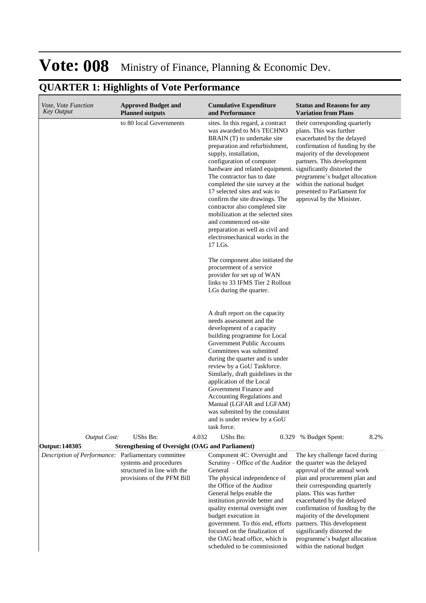| <i>Vote, Vote Function</i><br>Key Output            | <b>Approved Budget and</b><br><b>Planned outputs</b>                                | <b>Cumulative Expenditure</b><br>and Performance                                                                                                                                                                                                                                                                                                                                                                                                                                                                                                                                                                                                                                                                                                                                                                                                                                                                                                                                                                                                                                                | <b>Status and Reasons for any</b><br><b>Variation from Plans</b>                                                                                                                                                                                                                                                                                                                                                     |
|-----------------------------------------------------|-------------------------------------------------------------------------------------|-------------------------------------------------------------------------------------------------------------------------------------------------------------------------------------------------------------------------------------------------------------------------------------------------------------------------------------------------------------------------------------------------------------------------------------------------------------------------------------------------------------------------------------------------------------------------------------------------------------------------------------------------------------------------------------------------------------------------------------------------------------------------------------------------------------------------------------------------------------------------------------------------------------------------------------------------------------------------------------------------------------------------------------------------------------------------------------------------|----------------------------------------------------------------------------------------------------------------------------------------------------------------------------------------------------------------------------------------------------------------------------------------------------------------------------------------------------------------------------------------------------------------------|
|                                                     | to 80 local Governments                                                             | sites. In this regard, a contract<br>was awarded to M/s TECHNO<br>BRAIN (T) to undertake site<br>preparation and refurbishment,<br>supply, installation,<br>configuration of computer<br>hardware and related equipment. significantly distorted the<br>The contractor has to date<br>completed the site survey at the<br>17 selected sites and was to<br>confirm the site drawings. The<br>contractor also completed site<br>mobilization at the selected sites<br>and commenced on-site<br>preparation as well as civil and<br>electromechanical works in the<br>17 LGs.<br>The component also initiated the<br>procurement of a service<br>provider for set up of WAN<br>links to 33 IFMS Tier 2 Rollout<br>LGs during the quarter.<br>A draft report on the capacity<br>needs assessment and the<br>development of a capacity<br>building programme for Local<br><b>Government Public Accounts</b><br>Committees was submitted<br>during the quarter and is under<br>review by a GoU Taskforce.<br>Similarly, draft guidelines in the<br>application of the Local<br>Government Finance and | their corresponding quarterly<br>plans. This was further<br>exacerbated by the delayed<br>confirmation of funding by the<br>majority of the development<br>partners. This development<br>programme's budget allocation<br>within the national budget<br>presented to Parliament for<br>approval by the Minister.                                                                                                     |
|                                                     |                                                                                     | Accounting Regulations and<br>Manual (LGFAR and LGFAM)<br>was submited by the consulatnt<br>and is under review by a GoU                                                                                                                                                                                                                                                                                                                                                                                                                                                                                                                                                                                                                                                                                                                                                                                                                                                                                                                                                                        |                                                                                                                                                                                                                                                                                                                                                                                                                      |
| <b>Output Cost:</b>                                 | UShs Bn:<br>4.032                                                                   | task force.<br>UShs Bn:<br>0.329                                                                                                                                                                                                                                                                                                                                                                                                                                                                                                                                                                                                                                                                                                                                                                                                                                                                                                                                                                                                                                                                | 8.2%<br>% Budget Spent:                                                                                                                                                                                                                                                                                                                                                                                              |
| <b>Output: 140305</b>                               | <b>Strengthening of Oversight (OAG and Parliament)</b>                              |                                                                                                                                                                                                                                                                                                                                                                                                                                                                                                                                                                                                                                                                                                                                                                                                                                                                                                                                                                                                                                                                                                 |                                                                                                                                                                                                                                                                                                                                                                                                                      |
| Description of Performance: Parliamentary committee | systems and procedures<br>structured in line with the<br>provisions of the PFM Bill | Component 4C: Oversight and<br>Scrutiny – Office of the Auditor<br>General<br>The physical independence of<br>the Office of the Auditor<br>General helps enable the<br>institution provide better and<br>quality external oversight over<br>budget execution in<br>government. To this end, efforts<br>focused on the finalization of<br>the OAG head office, which is<br>scheduled to be commissioned                                                                                                                                                                                                                                                                                                                                                                                                                                                                                                                                                                                                                                                                                          | The key challenge faced during<br>the quarter was the delayed<br>approval of the annual work<br>plan and procurement plan and<br>their corresponding quarterly<br>plans. This was further<br>exacerbated by the delayed<br>confirmation of funding by the<br>majority of the development<br>partners. This development<br>significantly distorted the<br>programme's budget allocation<br>within the national budget |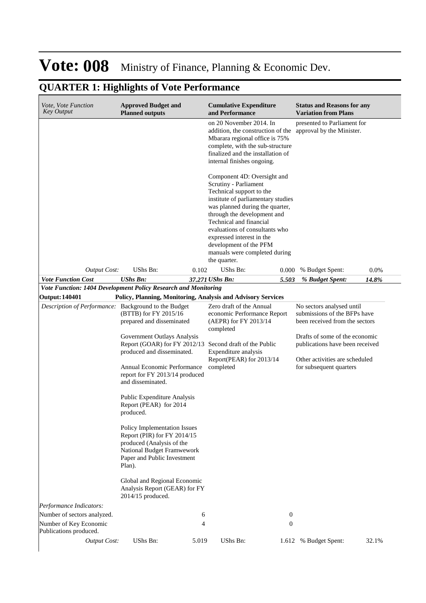| Vote, Vote Function<br><b>Key Output</b>                                                    | <b>Approved Budget and</b><br><b>Planned outputs</b>                                                                                                                                   |                | <b>Cumulative Expenditure</b><br>and Performance                                                                                                                                                                                                                                                                                                              |                  | <b>Status and Reasons for any</b><br><b>Variation from Plans</b>                                                                                                 |       |
|---------------------------------------------------------------------------------------------|----------------------------------------------------------------------------------------------------------------------------------------------------------------------------------------|----------------|---------------------------------------------------------------------------------------------------------------------------------------------------------------------------------------------------------------------------------------------------------------------------------------------------------------------------------------------------------------|------------------|------------------------------------------------------------------------------------------------------------------------------------------------------------------|-------|
|                                                                                             |                                                                                                                                                                                        |                | on 20 November 2014. In<br>addition, the construction of the<br>Mbarara regional office is 75%<br>complete, with the sub-structure<br>finalized and the installation of<br>internal finishes ongoing.                                                                                                                                                         |                  | presented to Parliament for<br>approval by the Minister.                                                                                                         |       |
|                                                                                             |                                                                                                                                                                                        |                | Component 4D: Oversight and<br>Scrutiny - Parliament<br>Technical support to the<br>institute of parliamentary studies<br>was planned during the quarter,<br>through the development and<br>Technical and financial<br>evaluations of consultants who<br>expressed interest in the<br>development of the PFM<br>manuals were completed during<br>the quarter. |                  |                                                                                                                                                                  |       |
| <b>Output Cost:</b>                                                                         | UShs Bn:                                                                                                                                                                               | 0.102          | UShs Bn:                                                                                                                                                                                                                                                                                                                                                      | 0.000            | % Budget Spent:                                                                                                                                                  | 0.0%  |
| <b>Vote Function Cost</b><br>Vote Function: 1404 Development Policy Research and Monitoring | <b>UShs Bn:</b>                                                                                                                                                                        |                | 37.271 UShs Bn:                                                                                                                                                                                                                                                                                                                                               | 5.503            | % Budget Spent:                                                                                                                                                  | 14.8% |
| <b>Output: 140401</b>                                                                       |                                                                                                                                                                                        |                | Policy, Planning, Monitoring, Analysis and Advisory Services                                                                                                                                                                                                                                                                                                  |                  |                                                                                                                                                                  |       |
| Description of Performance: Background to the Budget                                        | (BTTB) for FY 2015/16<br>prepared and disseminated<br>Government Outlays Analysis<br>Report (GOAR) for FY 2012/13                                                                      |                | Zero draft of the Annual<br>economic Performance Report<br>(AEPR) for FY 2013/14<br>completed<br>Second draft of the Public                                                                                                                                                                                                                                   |                  | No sectors analysed until<br>submissions of the BFPs have<br>been received from the sectors<br>Drafts of some of the economic<br>publications have been received |       |
|                                                                                             | produced and disseminated.<br>Annual Economic Performance<br>report for FY 2013/14 produced<br>and disseminated.<br>Public Expenditure Analysis<br>Report (PEAR) for 2014<br>produced. |                | Expenditure analysis<br>Report(PEAR) for 2013/14<br>completed                                                                                                                                                                                                                                                                                                 |                  | Other activities are scheduled<br>for subsequent quarters                                                                                                        |       |
|                                                                                             | <b>Policy Implementation Issues</b><br>Report (PIR) for FY 2014/15<br>produced (Analysis of the<br>National Budget Framwework<br>Paper and Public Investment<br>Plan).                 |                |                                                                                                                                                                                                                                                                                                                                                               |                  |                                                                                                                                                                  |       |
|                                                                                             | Global and Regional Economic<br>Analysis Report (GEAR) for FY<br>2014/15 produced.                                                                                                     |                |                                                                                                                                                                                                                                                                                                                                                               |                  |                                                                                                                                                                  |       |
| Performance Indicators:                                                                     |                                                                                                                                                                                        |                |                                                                                                                                                                                                                                                                                                                                                               |                  |                                                                                                                                                                  |       |
| Number of sectors analyzed.                                                                 |                                                                                                                                                                                        | 6              |                                                                                                                                                                                                                                                                                                                                                               | $\boldsymbol{0}$ |                                                                                                                                                                  |       |
| Number of Key Economic<br>Publications produced.                                            |                                                                                                                                                                                        | $\overline{4}$ |                                                                                                                                                                                                                                                                                                                                                               | $\boldsymbol{0}$ |                                                                                                                                                                  |       |
| <b>Output Cost:</b>                                                                         | UShs Bn:                                                                                                                                                                               | 5.019          | UShs Bn:                                                                                                                                                                                                                                                                                                                                                      | 1.612            | % Budget Spent:                                                                                                                                                  | 32.1% |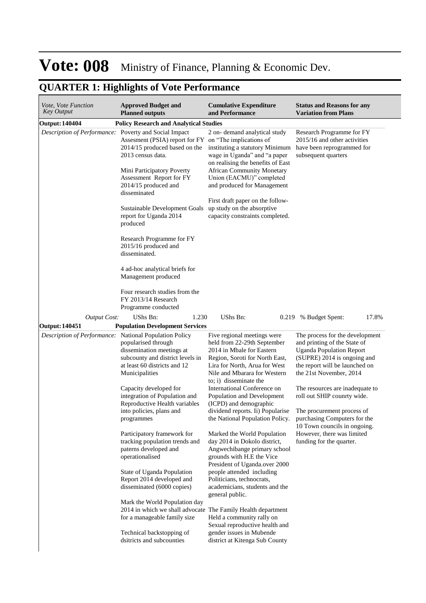| Vote, Vote Function<br><b>Key Output</b>               | <b>Approved Budget and</b><br><b>Planned outputs</b>                                                                                                                                                                                                                                                                                                                                                                                                                                                                                                                                                                                                                          | <b>Cumulative Expenditure</b><br>and Performance                                                                                                                                                                                                                                                                                                                                                                                                                                                                                                                                                                                                                                                                                                                                            | <b>Status and Reasons for any</b><br><b>Variation from Plans</b>                                                                                                                                                                                                                                                                                                                                                         |
|--------------------------------------------------------|-------------------------------------------------------------------------------------------------------------------------------------------------------------------------------------------------------------------------------------------------------------------------------------------------------------------------------------------------------------------------------------------------------------------------------------------------------------------------------------------------------------------------------------------------------------------------------------------------------------------------------------------------------------------------------|---------------------------------------------------------------------------------------------------------------------------------------------------------------------------------------------------------------------------------------------------------------------------------------------------------------------------------------------------------------------------------------------------------------------------------------------------------------------------------------------------------------------------------------------------------------------------------------------------------------------------------------------------------------------------------------------------------------------------------------------------------------------------------------------|--------------------------------------------------------------------------------------------------------------------------------------------------------------------------------------------------------------------------------------------------------------------------------------------------------------------------------------------------------------------------------------------------------------------------|
| <b>Output: 140404</b>                                  | <b>Policy Research and Analytical Studies</b>                                                                                                                                                                                                                                                                                                                                                                                                                                                                                                                                                                                                                                 |                                                                                                                                                                                                                                                                                                                                                                                                                                                                                                                                                                                                                                                                                                                                                                                             |                                                                                                                                                                                                                                                                                                                                                                                                                          |
| Description of Performance: Poverty and Social Impact  | Assesment (PSIA) report for FY on "The implications of<br>2014/15 produced based on the<br>2013 census data.<br>Mini Participatory Poverty<br>Assessment Report for FY<br>2014/15 produced and<br>disseminated<br>Sustainable Development Goals<br>report for Uganda 2014<br>produced                                                                                                                                                                                                                                                                                                                                                                                         | 2 on-demand analytical study<br>instituting a statutory Minimum<br>wage in Uganda" and "a paper<br>on realising the benefits of East<br><b>African Community Monetary</b><br>Union (EACMU)" completed<br>and produced for Management<br>First draft paper on the follow-<br>up study on the absorptive<br>capacity constraints completed.                                                                                                                                                                                                                                                                                                                                                                                                                                                   | Research Programme for FY<br>2015/16 and other activities<br>have been reprogrammed for<br>subsequent quarters                                                                                                                                                                                                                                                                                                           |
|                                                        | Research Programme for FY<br>2015/16 produced and<br>disseminated.<br>4 ad-hoc analytical briefs for<br>Management produced<br>Four research studies from the<br>FY 2013/14 Research                                                                                                                                                                                                                                                                                                                                                                                                                                                                                          |                                                                                                                                                                                                                                                                                                                                                                                                                                                                                                                                                                                                                                                                                                                                                                                             |                                                                                                                                                                                                                                                                                                                                                                                                                          |
|                                                        | Programme conducted                                                                                                                                                                                                                                                                                                                                                                                                                                                                                                                                                                                                                                                           |                                                                                                                                                                                                                                                                                                                                                                                                                                                                                                                                                                                                                                                                                                                                                                                             |                                                                                                                                                                                                                                                                                                                                                                                                                          |
| <b>Output Cost:</b>                                    | UShs Bn:<br>1.230                                                                                                                                                                                                                                                                                                                                                                                                                                                                                                                                                                                                                                                             | UShs Bn:<br>0.219                                                                                                                                                                                                                                                                                                                                                                                                                                                                                                                                                                                                                                                                                                                                                                           | % Budget Spent:<br>17.8%                                                                                                                                                                                                                                                                                                                                                                                                 |
| <b>Output: 140451</b>                                  | <b>Population Development Services</b>                                                                                                                                                                                                                                                                                                                                                                                                                                                                                                                                                                                                                                        |                                                                                                                                                                                                                                                                                                                                                                                                                                                                                                                                                                                                                                                                                                                                                                                             |                                                                                                                                                                                                                                                                                                                                                                                                                          |
| Description of Performance: National Population Policy | popularised through<br>dissemination meetings at<br>subcounty and district levels in<br>at least 60 districts and 12<br>Municipalities<br>Capacity developed for<br>integration of Population and<br>Reproductive Health variables<br>into policies, plans and<br>programmes<br>Participatory framework for<br>tracking population trends and<br>paterns developed and<br>operationalised<br>State of Uganda Population<br>Report 2014 developed and<br>disseminated (6000 copies)<br>Mark the World Population day<br>2014 in which we shall advocate The Family Health department<br>for a manageable family size<br>Technical backstopping of<br>dsitricts and subcounties | Five regional meetings were<br>held from 22-29th September<br>2014 in Mbale for Eastern<br>Region, Soroti for North East,<br>Lira for North, Arua for West<br>Nile and Mbarara for Western<br>to; i) disseminate the<br>International Conference on<br>Population and Development<br>(ICPD) and demographic<br>dividend reports. Ii) Popularise<br>the National Population Policy.<br>Marked the World Population<br>day 2014 in Dokolo district,<br>Angwechibange primary school<br>grounds with H.E the Vice<br>President of Uganda.over 2000<br>people attended including<br>Politicians, technocrats,<br>academicians, students and the<br>general public.<br>Held a community rally on<br>Sexual reproductive health and<br>gender issues in Mubende<br>district at Kitenga Sub County | The process for the development<br>and printing of the State of<br><b>Uganda Population Report</b><br>(SUPRE) 2014 is ongoing and<br>the report will be launched on<br>the 21st November, 2014<br>The resources are inadequate to<br>roll out SHIP counrty wide.<br>The procurement process of<br>purchasing Computers for the<br>10 Town councils in ongoing.<br>However, there was limited<br>funding for the quarter. |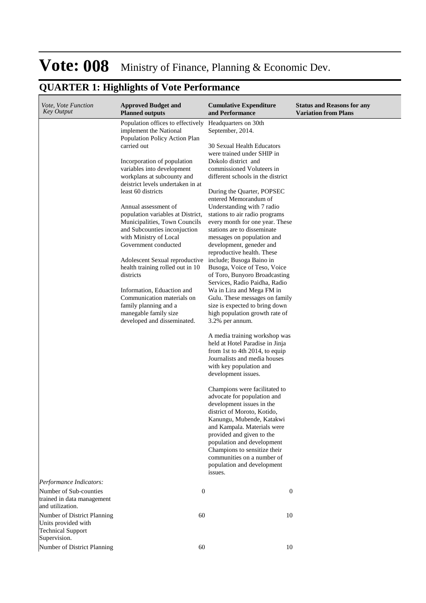| <i>Vote, Vote Function</i><br><b>Key Output</b>                                | <b>Approved Budget and</b><br><b>Planned outputs</b>            | <b>Cumulative Expenditure</b><br>and Performance                               | <b>Status and Reasons for any</b><br><b>Variation from Plans</b> |
|--------------------------------------------------------------------------------|-----------------------------------------------------------------|--------------------------------------------------------------------------------|------------------------------------------------------------------|
|                                                                                | Population offices to effectively<br>implement the National     | Headquarters on 30th<br>September, 2014.                                       |                                                                  |
|                                                                                | Population Policy Action Plan<br>carried out                    | 30 Sexual Health Educators                                                     |                                                                  |
|                                                                                | Incorporation of population<br>variables into development       | were trained under SHIP in<br>Dokolo district and<br>commissioned Voluteers in |                                                                  |
|                                                                                | workplans at subcounty and<br>deistrict levels undertaken in at | different schools in the district                                              |                                                                  |
|                                                                                | least 60 districts                                              | During the Quarter, POPSEC<br>entered Memorandum of                            |                                                                  |
|                                                                                | Annual assessment of<br>population variables at District,       | Understanding with 7 radio<br>stations to air radio programs                   |                                                                  |
|                                                                                | Municipalities, Town Councils<br>and Subcounties inconjuction   | every month for one year. These<br>stations are to disseminate                 |                                                                  |
|                                                                                | with Ministry of Local<br>Government conducted                  | messages on population and<br>development, geneder and                         |                                                                  |
|                                                                                | Adolescent Sexual reproductive                                  | reproductive health. These<br>include; Busoga Baino in                         |                                                                  |
|                                                                                | health training rolled out in 10<br>districts                   | Busoga, Voice of Teso, Voice<br>of Toro, Bunyoro Broadcasting                  |                                                                  |
|                                                                                | Information, Eduaction and                                      | Services, Radio Paidha, Radio<br>Wa in Lira and Mega FM in                     |                                                                  |
|                                                                                | Communication materials on<br>family planning and a             | Gulu. These messages on family<br>size is expected to bring down               |                                                                  |
|                                                                                | manegable family size<br>developed and disseminated.            | high population growth rate of<br>3.2% per annum.                              |                                                                  |
|                                                                                |                                                                 | A media training workshop was<br>held at Hotel Paradise in Jinja               |                                                                  |
|                                                                                |                                                                 | from 1st to 4th 2014, to equip<br>Journalists and media houses                 |                                                                  |
|                                                                                |                                                                 | with key population and<br>development issues.                                 |                                                                  |
|                                                                                |                                                                 | Champions were facilitated to                                                  |                                                                  |
|                                                                                |                                                                 | advocate for population and<br>development issues in the                       |                                                                  |
|                                                                                |                                                                 | district of Moroto, Kotido,<br>Kanungu, Mubende, Katakwi                       |                                                                  |
|                                                                                |                                                                 | and Kampala. Materials were                                                    |                                                                  |
|                                                                                |                                                                 | provided and given to the<br>population and development                        |                                                                  |
|                                                                                |                                                                 | Champions to sensitize their<br>communities on a number of                     |                                                                  |
|                                                                                |                                                                 | population and development<br>issues.                                          |                                                                  |
| Performance Indicators:                                                        |                                                                 |                                                                                |                                                                  |
| Number of Sub-counties<br>trained in data management<br>and utilization.       | $\boldsymbol{0}$                                                | 0                                                                              |                                                                  |
| Number of District Planning<br>Units provided with<br><b>Technical Support</b> | 60                                                              | 10                                                                             |                                                                  |
| Supervision.                                                                   |                                                                 |                                                                                |                                                                  |
| Number of District Planning                                                    | 60                                                              | 10                                                                             |                                                                  |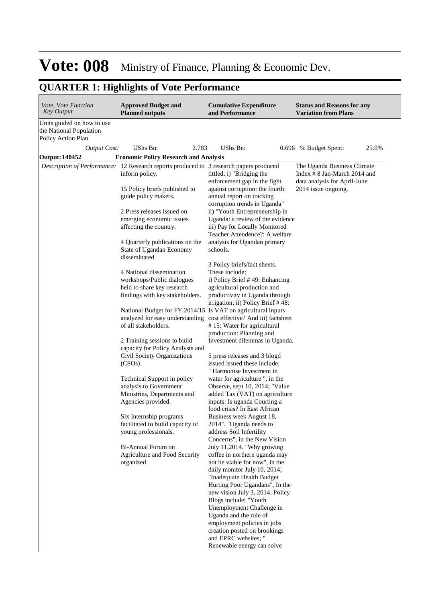| <i>Vote, Vote Function</i><br><b>Key Output</b>                              | <b>Approved Budget and</b><br><b>Planned outputs</b>                                                                                                                                                                                                                                                                                                                                                                                                                                                            | <b>Cumulative Expenditure</b><br>and Performance                                                                                                                                                                                                                                                                                                                                                                                                                                                                                                                                                                                                                                                                              | <b>Status and Reasons for any</b><br><b>Variation from Plans</b>                                                                               |
|------------------------------------------------------------------------------|-----------------------------------------------------------------------------------------------------------------------------------------------------------------------------------------------------------------------------------------------------------------------------------------------------------------------------------------------------------------------------------------------------------------------------------------------------------------------------------------------------------------|-------------------------------------------------------------------------------------------------------------------------------------------------------------------------------------------------------------------------------------------------------------------------------------------------------------------------------------------------------------------------------------------------------------------------------------------------------------------------------------------------------------------------------------------------------------------------------------------------------------------------------------------------------------------------------------------------------------------------------|------------------------------------------------------------------------------------------------------------------------------------------------|
| Units guided on how to use<br>the National Population<br>Policy Action Plan. |                                                                                                                                                                                                                                                                                                                                                                                                                                                                                                                 |                                                                                                                                                                                                                                                                                                                                                                                                                                                                                                                                                                                                                                                                                                                               |                                                                                                                                                |
|                                                                              | UShs Bn:<br>2.783                                                                                                                                                                                                                                                                                                                                                                                                                                                                                               | UShs Bn:                                                                                                                                                                                                                                                                                                                                                                                                                                                                                                                                                                                                                                                                                                                      | 25.0%                                                                                                                                          |
|                                                                              |                                                                                                                                                                                                                                                                                                                                                                                                                                                                                                                 |                                                                                                                                                                                                                                                                                                                                                                                                                                                                                                                                                                                                                                                                                                                               |                                                                                                                                                |
| <b>Output Cost:</b><br><b>Output: 140452</b>                                 | <b>Economic Policy Research and Analysis</b><br>Description of Performance: 12 Research reports produced to 3 research papers produced<br>inform policy.<br>15 Policy briefs published to<br>guide policy makers.<br>2 Press releases issued on<br>emerging economic issues<br>affecting the country.<br>4 Quarterly publications on the<br>State of Ugandan Economy<br>disseminated<br>4 National dissemination<br>workshops/Public dialogues<br>held to share key research<br>findings with key stakeholders. | tittled; i) "Bridging the<br>enforcement gap in the fight<br>against corruption: the fourth<br>annual report on tracking<br>corruption trends in Uganda"<br>ii) "Youth Entrepreneurship in<br>Uganda: a review of the evidence<br>iii) Pay for Locally Monitored<br>Teacher Attendence?: A welfare<br>analysis for Ugandan primary<br>schools.<br>3 Policy briefs/fact sheets.<br>These include;<br>i) Policy Brief #49: Enhancing<br>agricultural production and<br>productivity in Uganda through<br>irrigation; ii) Policy Brief #48:                                                                                                                                                                                      | 0.696 % Budget Spent:<br>The Uganda Business Climate<br>Index $\# 8$ Jan-March 2014 and<br>data analysis for April-June<br>2014 issue ongoing. |
|                                                                              | National Budget for FY 2014/15 Is VAT on agricultural inputs<br>of all stakeholders.<br>2 Training sessions to build<br>capacity for Policy Analysts and<br>Civil Society Organizations<br>(CSOs).                                                                                                                                                                                                                                                                                                              | analyzed for easy understanding cost effective? And iii) factsheet<br>#15: Water for agricultural<br>production: Planning and<br>Investment dilemmas in Uganda.<br>5 press releases and 3 blogd<br>issued issued these include;<br>" Harmonise Investment in                                                                                                                                                                                                                                                                                                                                                                                                                                                                  |                                                                                                                                                |
|                                                                              | Technical Support in policy<br>analysis to Government<br>Ministries, Departments and<br>Agencies provided.<br>Six Internship programs<br>facilitated to build capacity of<br>young professionals.<br>Bi-Annual Forum on<br>Agriculture and Food Security<br>organized                                                                                                                                                                                                                                           | water for agriculture", in the<br>Observe, sept 10, 2014; "Value<br>added Tax (VAT) on agriculture<br>inputs: Is uganda Courting a<br>food crisis? In East African<br>Business week August 18,<br>2014". "Uganda needs to<br>address Soil Infertility<br>Concerns", in the New Vision<br>July 11,2014. "Why growing<br>coffee in northern uganda may<br>not be viable for now", in the<br>daily monitor July 10, 2014;<br>"Inadequate Health Budget<br>Hurting Poor Ugandans", In the<br>new vision July 3, 2014. Policy<br>Blogs include; "Youth<br>Unemployment Challenge in<br>Uganda and the role of<br>employment policies in jobs<br>creation posted on brookings<br>and EPRC websites; "<br>Renewable energy can solve |                                                                                                                                                |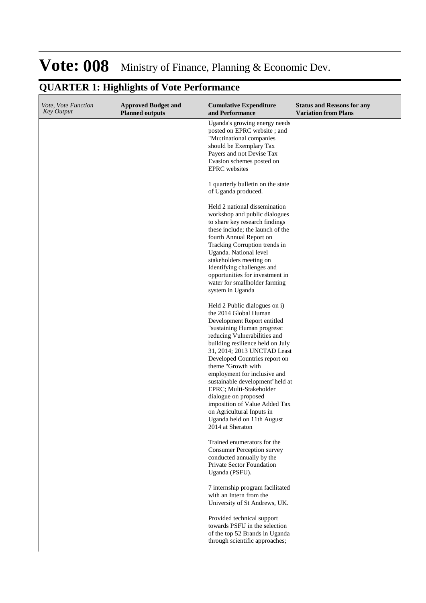| <i>Vote, Vote Function</i><br><b>Key Output</b> | <b>Approved Budget and</b><br><b>Planned outputs</b> | <b>Cumulative Expenditure</b><br>and Performance                                                                                                                                                                                                                                                                                                                                                                                                                                                                     | <b>Status and Reasons for any</b><br><b>Variation from Plans</b> |
|-------------------------------------------------|------------------------------------------------------|----------------------------------------------------------------------------------------------------------------------------------------------------------------------------------------------------------------------------------------------------------------------------------------------------------------------------------------------------------------------------------------------------------------------------------------------------------------------------------------------------------------------|------------------------------------------------------------------|
|                                                 |                                                      | Uganda's growing energy needs<br>posted on EPRC website; and<br>"Mu;tinational companies<br>should be Exemplary Tax<br>Payers and not Devise Tax<br>Evasion schemes posted on<br><b>EPRC</b> websites<br>1 quarterly bulletin on the state<br>of Uganda produced.                                                                                                                                                                                                                                                    |                                                                  |
|                                                 |                                                      | Held 2 national dissemination<br>workshop and public dialogues<br>to share key research findings<br>these include; the launch of the<br>fourth Annual Report on<br>Tracking Corruption trends in<br>Uganda. National level<br>stakeholders meeting on<br>Identifying challenges and<br>opportunities for investment in<br>water for smallholder farming<br>system in Uganda                                                                                                                                          |                                                                  |
|                                                 |                                                      | Held 2 Public dialogues on i)<br>the 2014 Global Human<br>Development Report entitled<br>"sustaining Human progress:<br>reducing Vulnerabilities and<br>building resilience held on July<br>31, 2014; 2013 UNCTAD Least<br>Developed Countries report on<br>theme "Growth with<br>employment for inclusive and<br>sustainable development"held at<br>EPRC; Multi-Stakeholder<br>dialogue on proposed<br>imposition of Value Added Tax<br>on Agricultural Inputs in<br>Uganda held on 11th August<br>2014 at Sheraton |                                                                  |
|                                                 |                                                      | Trained enumerators for the<br><b>Consumer Perception survey</b><br>conducted annually by the<br>Private Sector Foundation<br>Uganda (PSFU).<br>7 internship program facilitated<br>with an Intern from the<br>University of St Andrews, UK.                                                                                                                                                                                                                                                                         |                                                                  |
|                                                 |                                                      | Provided technical support<br>towards PSFU in the selection<br>of the top 52 Brands in Uganda<br>through scientific approaches;                                                                                                                                                                                                                                                                                                                                                                                      |                                                                  |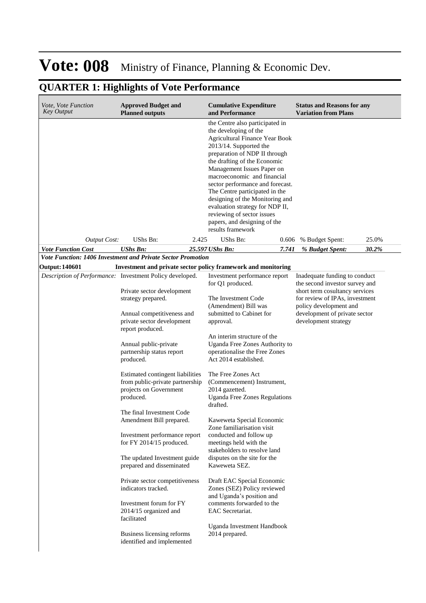| <i>Vote, Vote Function</i><br>Key Output | <b>Approved Budget and</b><br><b>Planned outputs</b>                                                                                                                                                                                                                                                                                                                                                                                   | <b>Cumulative Expenditure</b><br>and Performance                                                                                                                                                                                                                                                                                                                                                                                                                                         | <b>Status and Reasons for any</b><br><b>Variation from Plans</b>                                                                                                                                                       |
|------------------------------------------|----------------------------------------------------------------------------------------------------------------------------------------------------------------------------------------------------------------------------------------------------------------------------------------------------------------------------------------------------------------------------------------------------------------------------------------|------------------------------------------------------------------------------------------------------------------------------------------------------------------------------------------------------------------------------------------------------------------------------------------------------------------------------------------------------------------------------------------------------------------------------------------------------------------------------------------|------------------------------------------------------------------------------------------------------------------------------------------------------------------------------------------------------------------------|
|                                          |                                                                                                                                                                                                                                                                                                                                                                                                                                        | the Centre also participated in<br>the developing of the<br><b>Agricultural Finance Year Book</b><br>2013/14. Supported the<br>preparation of NDP II through<br>the drafting of the Economic<br>Management Issues Paper on<br>macroeconomic and financial<br>sector performance and forecast.<br>The Centre participated in the<br>designing of the Monitoring and<br>evaluation strategy for NDP II,<br>reviewing of sector issues<br>papers, and designing of the<br>results framework |                                                                                                                                                                                                                        |
| <b>Output Cost:</b>                      | UShs Bn:<br>2.425                                                                                                                                                                                                                                                                                                                                                                                                                      | UShs Bn:<br>0.606                                                                                                                                                                                                                                                                                                                                                                                                                                                                        | % Budget Spent:<br>25.0%                                                                                                                                                                                               |
| <b>Vote Function Cost</b>                | <b>UShs Bn:</b>                                                                                                                                                                                                                                                                                                                                                                                                                        | 25.597 UShs Bn:<br>7.741                                                                                                                                                                                                                                                                                                                                                                                                                                                                 | 30.2%<br>% Budget Spent:                                                                                                                                                                                               |
|                                          | <b>Vote Function: 1406 Investment and Private Sector Promotion</b>                                                                                                                                                                                                                                                                                                                                                                     |                                                                                                                                                                                                                                                                                                                                                                                                                                                                                          |                                                                                                                                                                                                                        |
|                                          |                                                                                                                                                                                                                                                                                                                                                                                                                                        | Investment and private sector policy framework and monitoring                                                                                                                                                                                                                                                                                                                                                                                                                            |                                                                                                                                                                                                                        |
| <b>Output: 140601</b>                    | Description of Performance: Investment Policy developed.<br>Private sector development<br>strategy prepared.<br>Annual competitiveness and<br>private sector development<br>report produced.<br>Annual public-private<br>partnership status report<br>produced.<br>Estimated contingent liabilities<br>from public-private partnership<br>projects on Government<br>produced.<br>The final Investment Code<br>Amendment Bill prepared. | Investment performance report<br>for Q1 produced.<br>The Investment Code<br>(Amendment) Bill was<br>submitted to Cabinet for<br>approval.<br>An interim structure of the<br>Uganda Free Zones Authority to<br>operationalise the Free Zones<br>Act 2014 established.<br>The Free Zones Act<br>(Commencement) Instrument,<br>2014 gazetted.<br><b>Uganda Free Zones Regulations</b><br>drafted.<br>Kaweweta Special Economic<br>Zone familiarisation visit                                | Inadequate funding to conduct<br>the second investor survey and<br>short term cosultancy services<br>for review of IPAs, investment<br>policy development and<br>development of private sector<br>development strategy |
|                                          | Investment performance report<br>for FY 2014/15 produced.<br>The updated Investment guide<br>prepared and disseminated<br>Private sector competitiveness<br>indicators tracked.<br>Investment forum for FY<br>2014/15 organized and<br>facilitated<br>Business licensing reforms<br>identified and implemented                                                                                                                         | conducted and follow up<br>meetings held with the<br>stakeholders to resolve land<br>disputes on the site for the<br>Kaweweta SEZ.<br>Draft EAC Special Economic<br>Zones (SEZ) Policy reviewed<br>and Uganda's position and<br>comments forwarded to the<br>EAC Secretariat.<br>Uganda Investment Handbook<br>2014 prepared.                                                                                                                                                            |                                                                                                                                                                                                                        |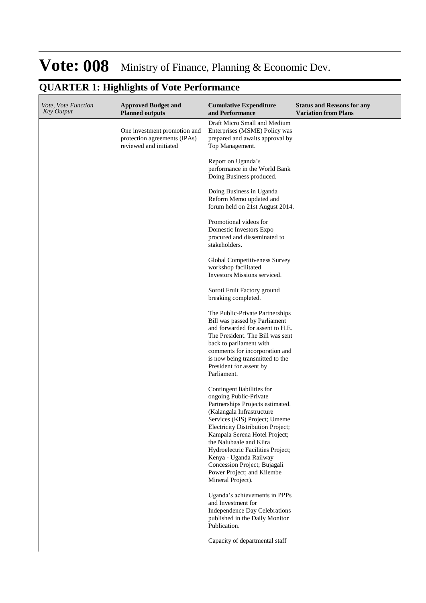| <i>Vote, Vote Function</i><br><b>Key Output</b> | <b>Approved Budget and</b><br><b>Planned outputs</b>                                   | <b>Cumulative Expenditure</b><br>and Performance                                                                                                                                                                                                                                                                                                                                                          | <b>Status and Reasons for any</b><br><b>Variation from Plans</b> |
|-------------------------------------------------|----------------------------------------------------------------------------------------|-----------------------------------------------------------------------------------------------------------------------------------------------------------------------------------------------------------------------------------------------------------------------------------------------------------------------------------------------------------------------------------------------------------|------------------------------------------------------------------|
|                                                 | One investment promotion and<br>protection agreements (IPAs)<br>reviewed and initiated | Draft Micro Small and Medium<br>Enterprises (MSME) Policy was<br>prepared and awaits approval by<br>Top Management.                                                                                                                                                                                                                                                                                       |                                                                  |
|                                                 |                                                                                        | Report on Uganda's<br>performance in the World Bank<br>Doing Business produced.                                                                                                                                                                                                                                                                                                                           |                                                                  |
|                                                 |                                                                                        | Doing Business in Uganda<br>Reform Memo updated and<br>forum held on 21st August 2014.                                                                                                                                                                                                                                                                                                                    |                                                                  |
|                                                 |                                                                                        | Promotional videos for<br>Domestic Investors Expo<br>procured and disseminated to<br>stakeholders.                                                                                                                                                                                                                                                                                                        |                                                                  |
|                                                 |                                                                                        | Global Competitiveness Survey<br>workshop facilitated<br>Investors Missions serviced.                                                                                                                                                                                                                                                                                                                     |                                                                  |
|                                                 |                                                                                        | Soroti Fruit Factory ground<br>breaking completed.                                                                                                                                                                                                                                                                                                                                                        |                                                                  |
|                                                 |                                                                                        | The Public-Private Partnerships<br>Bill was passed by Parliament<br>and forwarded for assent to H.E.<br>The President. The Bill was sent<br>back to parliament with<br>comments for incorporation and<br>is now being transmitted to the<br>President for assent by<br>Parliament.                                                                                                                        |                                                                  |
|                                                 |                                                                                        | Contingent liabilities for<br>ongoing Public-Private<br>Partnerships Projects estimated.<br>(Kalangala Infrastructure<br>Services (KIS) Project; Umeme<br>Electricity Distribution Project;<br>Kampala Serena Hotel Project;<br>the Nalubaale and Kiira<br>Hydroelectric Facilities Project;<br>Kenya - Uganda Railway<br>Concession Project; Bujagali<br>Power Project; and Kilembe<br>Mineral Project). |                                                                  |
|                                                 |                                                                                        | Uganda's achievements in PPPs<br>and Investment for<br>Independence Day Celebrations<br>published in the Daily Monitor<br>Publication.                                                                                                                                                                                                                                                                    |                                                                  |
|                                                 |                                                                                        | Capacity of departmental staff                                                                                                                                                                                                                                                                                                                                                                            |                                                                  |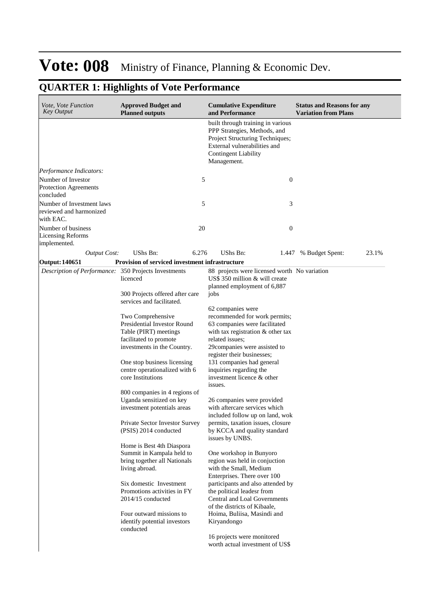| Vote, Vote Function<br><b>Key Output</b>                               | <b>Approved Budget and</b><br><b>Planned outputs</b>      |       | <b>Cumulative Expenditure</b><br>and Performance                                                                                                                                   | <b>Status and Reasons for any</b><br><b>Variation from Plans</b> |
|------------------------------------------------------------------------|-----------------------------------------------------------|-------|------------------------------------------------------------------------------------------------------------------------------------------------------------------------------------|------------------------------------------------------------------|
|                                                                        |                                                           |       | built through training in various<br>PPP Strategies, Methods, and<br>Project Structuring Techniques;<br>External vulnerabilities and<br><b>Contingent Liability</b><br>Management. |                                                                  |
| Performance Indicators:                                                |                                                           |       |                                                                                                                                                                                    |                                                                  |
| Number of Investor                                                     |                                                           | 5     | $\boldsymbol{0}$                                                                                                                                                                   |                                                                  |
| <b>Protection Agreements</b><br>concluded                              |                                                           |       |                                                                                                                                                                                    |                                                                  |
| Number of Investment laws<br>reviewed and harmonized<br>with EAC.      |                                                           | 5     | 3                                                                                                                                                                                  |                                                                  |
| Number of business<br><b>Licensing Reforms</b><br>implemented.         |                                                           | 20    | $\boldsymbol{0}$                                                                                                                                                                   |                                                                  |
| <b>Output Cost:</b>                                                    | UShs Bn:                                                  | 6.276 | <b>UShs Bn:</b>                                                                                                                                                                    | 23.1%<br>1.447 % Budget Spent:                                   |
| Output: 140651<br>Description of Performance: 350 Projects Investments | Provision of serviced investment infrastructure           |       | 88 projects were licensed worth No variation                                                                                                                                       |                                                                  |
|                                                                        | licenced<br>300 Projects offered after care               |       | US\$ 350 million & will create<br>planned employment of 6,887<br>jobs                                                                                                              |                                                                  |
|                                                                        | services and facilitated.                                 |       |                                                                                                                                                                                    |                                                                  |
|                                                                        |                                                           |       | 62 companies were                                                                                                                                                                  |                                                                  |
|                                                                        | Two Comprehensive                                         |       | recommended for work permits;                                                                                                                                                      |                                                                  |
|                                                                        | Presidential Investor Round                               |       | 63 companies were facilitated                                                                                                                                                      |                                                                  |
|                                                                        | Table (PIRT) meetings                                     |       | with tax registration & other tax                                                                                                                                                  |                                                                  |
|                                                                        | facilitated to promote                                    |       | related issues;                                                                                                                                                                    |                                                                  |
|                                                                        | investments in the Country.                               |       | 29companies were assisted to<br>register their businesses;                                                                                                                         |                                                                  |
|                                                                        | One stop business licensing                               |       | 131 companies had general                                                                                                                                                          |                                                                  |
|                                                                        | centre operationalized with 6<br>core Institutions        |       | inquiries regarding the<br>investment licence & other                                                                                                                              |                                                                  |
|                                                                        |                                                           |       | issues.                                                                                                                                                                            |                                                                  |
|                                                                        | 800 companies in 4 regions of<br>Uganda sensitized on key |       | 26 companies were provided                                                                                                                                                         |                                                                  |
|                                                                        | investment potentials areas                               |       | with aftercare services which                                                                                                                                                      |                                                                  |
|                                                                        |                                                           |       | included follow up on land, wok                                                                                                                                                    |                                                                  |
|                                                                        | Private Sector Investor Survey<br>(PSIS) 2014 conducted   |       | permits, taxation issues, closure<br>by KCCA and quality standard                                                                                                                  |                                                                  |
|                                                                        |                                                           |       | issues by UNBS.                                                                                                                                                                    |                                                                  |
|                                                                        | Home is Best 4th Diaspora                                 |       |                                                                                                                                                                                    |                                                                  |
|                                                                        | Summit in Kampala held to                                 |       | One workshop in Bunyoro<br>region was held in conjuction                                                                                                                           |                                                                  |
|                                                                        | bring together all Nationals<br>living abroad.            |       | with the Small, Medium<br>Enterprises. There over 100                                                                                                                              |                                                                  |
|                                                                        | Six domestic Investment                                   |       | participants and also attended by                                                                                                                                                  |                                                                  |
|                                                                        | Promotions activities in FY<br>$2014/15$ conducted        |       | the political leadesr from<br>Central and Loal Governments                                                                                                                         |                                                                  |
|                                                                        |                                                           |       | of the districts of Kibaale,                                                                                                                                                       |                                                                  |
|                                                                        | Four outward missions to<br>identify potential investors  |       | Hoima, Buliisa, Masindi and<br>Kiryandongo                                                                                                                                         |                                                                  |
|                                                                        | conducted                                                 |       | 16 projects were monitored<br>worth actual investment of US\$                                                                                                                      |                                                                  |
|                                                                        |                                                           |       |                                                                                                                                                                                    |                                                                  |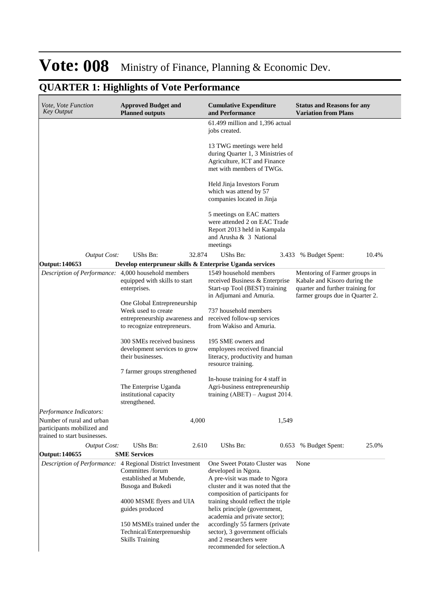|  | <b>QUARTER 1: Highlights of Vote Performance</b> |  |  |
|--|--------------------------------------------------|--|--|
|--|--------------------------------------------------|--|--|

| <i>Vote, Vote Function</i><br><b>Key Output</b>                                         | <b>Approved Budget and</b><br><b>Planned outputs</b>                                                                                            |        | <b>Cumulative Expenditure</b><br>and Performance                                                                                                             | <b>Status and Reasons for any</b><br><b>Variation from Plans</b>                                                                     |
|-----------------------------------------------------------------------------------------|-------------------------------------------------------------------------------------------------------------------------------------------------|--------|--------------------------------------------------------------------------------------------------------------------------------------------------------------|--------------------------------------------------------------------------------------------------------------------------------------|
|                                                                                         |                                                                                                                                                 |        | 61.499 million and 1,396 actual<br>jobs created.                                                                                                             |                                                                                                                                      |
|                                                                                         |                                                                                                                                                 |        | 13 TWG meetings were held<br>during Quarter 1, 3 Ministries of<br>Agriculture, ICT and Finance<br>met with members of TWGs.                                  |                                                                                                                                      |
|                                                                                         |                                                                                                                                                 |        | Held Jinja Investors Forum<br>which was attend by 57<br>companies located in Jinja                                                                           |                                                                                                                                      |
|                                                                                         |                                                                                                                                                 |        | 5 meetings on EAC matters<br>were attended 2 on EAC Trade<br>Report 2013 held in Kampala<br>and Arusha & 3 National<br>meetings                              |                                                                                                                                      |
| <b>Output Cost:</b>                                                                     | UShs Bn:                                                                                                                                        | 32.874 | UShs Bn:<br>3.433                                                                                                                                            | 10.4%<br>% Budget Spent:                                                                                                             |
| Output: 140653                                                                          | Develop enterpruneur skills & Enterprise Uganda services                                                                                        |        |                                                                                                                                                              |                                                                                                                                      |
| Description of Performance:                                                             | 4,000 household members<br>equipped with skills to start<br>enterprises.                                                                        |        | 1549 household members<br>received Business & Enterprise<br>Start-up Tool (BEST) training<br>in Adjumani and Amuria.                                         | Mentoring of Farmer groups in<br>Kabale and Kisoro during the<br>quarter and further training for<br>farmer groups due in Quarter 2. |
|                                                                                         | One Global Entrepreneurship<br>Week used to create<br>entrepreneurship awareness and received follow-up services<br>to recognize entrepreneurs. |        | 737 household members<br>from Wakiso and Amuria.                                                                                                             |                                                                                                                                      |
|                                                                                         | 300 SMEs received business<br>development services to grow<br>their businesses.                                                                 |        | 195 SME owners and<br>employees received financial<br>literacy, productivity and human<br>resource training.                                                 |                                                                                                                                      |
|                                                                                         | 7 farmer groups strengthened                                                                                                                    |        |                                                                                                                                                              |                                                                                                                                      |
|                                                                                         | The Enterprise Uganda<br>institutional capacity<br>strengthened.                                                                                |        | In-house training for 4 staff in<br>Agri-business entrepreneurship<br>training $(ABET)$ – August 2014.                                                       |                                                                                                                                      |
| Performance Indicators:                                                                 |                                                                                                                                                 |        |                                                                                                                                                              |                                                                                                                                      |
| Number of rural and urban<br>participants mobilized and<br>trained to start businesses. |                                                                                                                                                 | 4,000  | 1,549                                                                                                                                                        |                                                                                                                                      |
| <b>Output Cost:</b>                                                                     | UShs Bn:                                                                                                                                        | 2.610  | UShs Bn:                                                                                                                                                     | 25.0%<br>0.653 % Budget Spent:                                                                                                       |
| Output: 140655                                                                          | <b>SME Services</b>                                                                                                                             |        |                                                                                                                                                              |                                                                                                                                      |
| Description of Performance: 4 Regional District Investment                              | Committes /forum<br>established at Mubende,<br>Busoga and Bukedi                                                                                |        | One Sweet Potato Cluster was<br>developed in Ngora.<br>A pre-visit was made to Ngora<br>cluster and it was noted that the<br>composition of participants for | None                                                                                                                                 |
|                                                                                         | 4000 MSME flyers and UIA<br>guides produced                                                                                                     |        | training should reflect the triple<br>helix principle (government,<br>academia and private sector);                                                          |                                                                                                                                      |
|                                                                                         | 150 MSMEs trained under the<br>Technical/Enterprenueship<br><b>Skills Training</b>                                                              |        | accordingly 55 farmers (private<br>sector), 3 government officials<br>and 2 researchers were<br>recommended for selection.A                                  |                                                                                                                                      |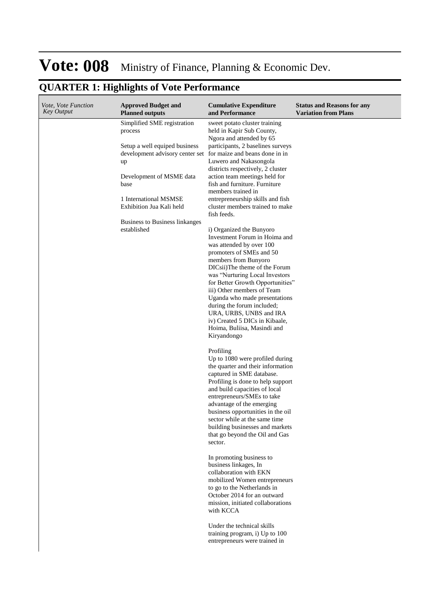| Vote, Vote Function<br>Key Output | <b>Approved Budget and</b><br><b>Planned outputs</b>                   | <b>Cumulative Expenditure</b><br>and Performance                                                                                                                                                                                                                                                                                                                                                                                                                                                                                                                                                                                                                                                                                                                                                                                                                                                                                                                                                                                                | <b>Status and Reasons for any</b><br><b>Variation from Plans</b> |
|-----------------------------------|------------------------------------------------------------------------|-------------------------------------------------------------------------------------------------------------------------------------------------------------------------------------------------------------------------------------------------------------------------------------------------------------------------------------------------------------------------------------------------------------------------------------------------------------------------------------------------------------------------------------------------------------------------------------------------------------------------------------------------------------------------------------------------------------------------------------------------------------------------------------------------------------------------------------------------------------------------------------------------------------------------------------------------------------------------------------------------------------------------------------------------|------------------------------------------------------------------|
|                                   | Simplified SME registration<br>process                                 | sweet potato cluster training<br>held in Kapir Sub County,<br>Ngora and attended by 65                                                                                                                                                                                                                                                                                                                                                                                                                                                                                                                                                                                                                                                                                                                                                                                                                                                                                                                                                          |                                                                  |
|                                   | Setup a well equiped business<br>development advisory center set<br>up | participants, 2 baselines surveys<br>for maize and beans done in in<br>Luwero and Nakasongola<br>districts respectively, 2 cluster                                                                                                                                                                                                                                                                                                                                                                                                                                                                                                                                                                                                                                                                                                                                                                                                                                                                                                              |                                                                  |
|                                   | Development of MSME data<br>base                                       | action team meetings held for<br>fish and furniture. Furniture<br>members trained in                                                                                                                                                                                                                                                                                                                                                                                                                                                                                                                                                                                                                                                                                                                                                                                                                                                                                                                                                            |                                                                  |
|                                   | 1 International MSMSE<br>Exhibition Jua Kali held                      | entrepreneurship skills and fish<br>cluster members trained to make<br>fish feeds.                                                                                                                                                                                                                                                                                                                                                                                                                                                                                                                                                                                                                                                                                                                                                                                                                                                                                                                                                              |                                                                  |
|                                   | Business to Business linkanges<br>established                          | i) Organized the Bunyoro<br>Investment Forum in Hoima and<br>was attended by over 100<br>promoters of SMEs and 50<br>members from Bunyoro<br>DICsii)The theme of the Forum<br>was "Nurturing Local Investors<br>for Better Growth Opportunities"<br>iii) Other members of Team<br>Uganda who made presentations<br>during the forum included;<br>URA, URBS, UNBS and IRA<br>iv) Created 5 DICs in Kibaale,<br>Hoima, Buliisa, Masindi and<br>Kiryandongo<br>Profiling<br>Up to 1080 were profiled during<br>the quarter and their information<br>captured in SME database.<br>Profiling is done to help support<br>and build capacities of local<br>entrepreneurs/SMEs to take<br>advantage of the emerging<br>business opportunities in the oil<br>sector while at the same time<br>building businesses and markets<br>that go beyond the Oil and Gas<br>sector.<br>In promoting business to<br>business linkages, In<br>collaboration with EKN<br>mobilized Women entrepreneurs<br>to go to the Netherlands in<br>October 2014 for an outward |                                                                  |
|                                   |                                                                        | mission, initiated collaborations<br>with KCCA<br>Under the technical skills<br>training program, i) Up to 100<br>entrepreneurs were trained in                                                                                                                                                                                                                                                                                                                                                                                                                                                                                                                                                                                                                                                                                                                                                                                                                                                                                                 |                                                                  |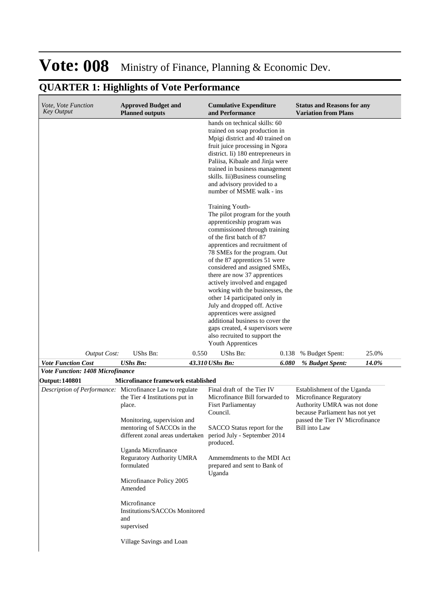#### **Cumulative Expenditure and Performance Approved Budget and Planned outputs Status and Reasons for any Variation from Plans** *Vote, Vote Function Key Output Vote Function Cost UShs Bn: 43.310 UShs Bn: 6.080 % Budget Spent: 14.0%* hands on technical skills: 60 trained on soap production in Mpigi district and 40 trained on fruit juice processing in Ngora district. Ii) 180 entrepreneurs in Paliisa, Kibaale and Jinja were trained in business management skills. Iii)Business counseling and advisory provided to a number of MSME walk - ins Training Youth-The pilot program for the youth apprenticeship program was commissioned through training of the first batch of 87 apprentices and recruitment of 78 SMEs for the program. Out of the 87 apprentices 51 were considered and assigned SMEs, there are now 37 apprentices actively involved and engaged working with the businesses, the other 14 participated only in July and dropped off. Active apprentices were assigned additional business to cover the gaps created, 4 supervisors were also recruited to support the Youth Apprentices *Output Cost:* UShs Bn: 0.550 UShs Bn: 0.138 % Budget Spent: 25.0% *Vote Function: 1408 Microfinance* **Output: 140801 Microfinance framework established** *Description of Performance:* Microfinance Law to regulate the Tier 4 Institutions put in place. Monitoring, supervision and mentoring of SACCOs in the different zonal areas undertaken Uganda Microfinance Reguratory Authority UMRA formulated Microfinance Policy 2005 Amended Microfinance Institutions/SACCOs Monitored and supervised Village Savings and Loan Final draft of the Tier IV Microfinance Bill forwarded to Fisrt Parliamentay Council. SACCO Status report for the period July - September 2014 produced. Ammemdments to the MDI Act prepared and sent to Bank of Uganda Establishment of the Uganda Microfinance Reguratory Authority UMRA was not done because Parliament has not yet passed the Tier IV Microfinance Bill into Law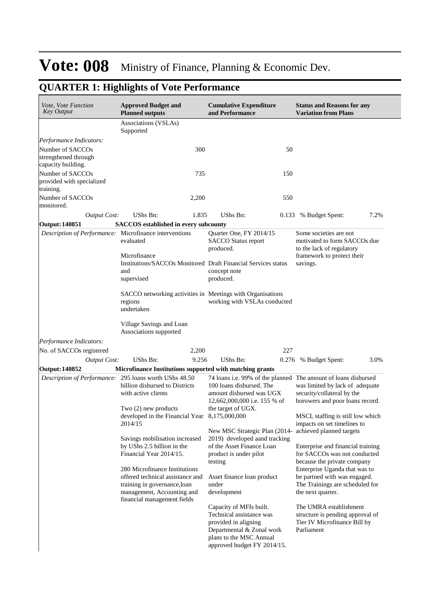| Vote, Vote Function<br>Key Output                                                                                                                                                                                    | <b>Approved Budget and</b><br><b>Planned outputs</b>                                                                                                               | <b>Cumulative Expenditure</b><br>and Performance                                                                                                                   | <b>Status and Reasons for any</b><br><b>Variation from Plans</b>                                                      |  |  |  |
|----------------------------------------------------------------------------------------------------------------------------------------------------------------------------------------------------------------------|--------------------------------------------------------------------------------------------------------------------------------------------------------------------|--------------------------------------------------------------------------------------------------------------------------------------------------------------------|-----------------------------------------------------------------------------------------------------------------------|--|--|--|
|                                                                                                                                                                                                                      | Associations (VSLAs)<br>Supported                                                                                                                                  |                                                                                                                                                                    |                                                                                                                       |  |  |  |
| Performance Indicators:                                                                                                                                                                                              |                                                                                                                                                                    |                                                                                                                                                                    |                                                                                                                       |  |  |  |
| Number of SACCOs<br>strengthened through<br>capacity building.                                                                                                                                                       | 300                                                                                                                                                                | 50                                                                                                                                                                 |                                                                                                                       |  |  |  |
| Number of SACCOs<br>provided with specialized<br>training.                                                                                                                                                           | 735                                                                                                                                                                | 150                                                                                                                                                                |                                                                                                                       |  |  |  |
| Number of SACCOs<br>monitored.                                                                                                                                                                                       | 2,200                                                                                                                                                              | 550                                                                                                                                                                |                                                                                                                       |  |  |  |
| <b>Output Cost:</b>                                                                                                                                                                                                  | UShs Bn:<br>1.835                                                                                                                                                  | UShs Bn:<br>0.133                                                                                                                                                  | 7.2%<br>% Budget Spent:                                                                                               |  |  |  |
| Output: 140851                                                                                                                                                                                                       | <b>SACCOS</b> established in every subcounty                                                                                                                       |                                                                                                                                                                    |                                                                                                                       |  |  |  |
| Description of Performance: Microfinance interventions                                                                                                                                                               | evaluated<br>Microfinance                                                                                                                                          | Some societies are not<br>motivated to form SACCOs due<br>to the lack of regulatory<br>framework to protect their                                                  |                                                                                                                       |  |  |  |
|                                                                                                                                                                                                                      | Institutions/SACCOs Monitored Draft Financial Services status<br>and<br>supervised                                                                                 | concept note<br>produced.                                                                                                                                          | savings.                                                                                                              |  |  |  |
|                                                                                                                                                                                                                      | SACCO networking activities in Meetings with Organisations<br>regions<br>undertaken                                                                                | working with VSLAs conducted                                                                                                                                       |                                                                                                                       |  |  |  |
|                                                                                                                                                                                                                      | Village Savings and Loan<br>Associations supported                                                                                                                 |                                                                                                                                                                    |                                                                                                                       |  |  |  |
| Performance Indicators:                                                                                                                                                                                              |                                                                                                                                                                    |                                                                                                                                                                    |                                                                                                                       |  |  |  |
| No. of SACCOs registered                                                                                                                                                                                             | 2,200                                                                                                                                                              | 227                                                                                                                                                                |                                                                                                                       |  |  |  |
| <b>Output Cost:</b>                                                                                                                                                                                                  | UShs Bn:<br>9.256                                                                                                                                                  | UShs Bn:<br>0.276                                                                                                                                                  | 3.0%<br>% Budget Spent:                                                                                               |  |  |  |
| Output: 140852                                                                                                                                                                                                       | Microfinance Institutions supported with matching grants                                                                                                           |                                                                                                                                                                    |                                                                                                                       |  |  |  |
| Description of Performance: 295 loans worth UShs 48.50                                                                                                                                                               | billion disbursed to Districts<br>with active clients                                                                                                              | 74 loans i.e. 99% of the planned The amount of loans disbursed<br>100 loans disbursed. The<br>amount disbursed was UGX<br>12,662,000,000 i.e. 155 % of             | was limited by lack of adequate<br>security/collateral by the<br>borowers and poor loans record.                      |  |  |  |
|                                                                                                                                                                                                                      | Two $(2)$ new products<br>the target of UGX.<br>developed in the Financial Year 8,175,000,000<br>2014/15<br>New MSC Strategic Plan (2014- achieved planned targets |                                                                                                                                                                    | MSCL staffing is still low which<br>impacts on set timelines to                                                       |  |  |  |
|                                                                                                                                                                                                                      | Savings mobilisation increased<br>by UShs 2.5 billion in the<br>Financial Year 2014/15.                                                                            | 2019) developed aand tracking<br>of the Asset Finance Loan<br>product is under pilot<br>testing                                                                    | Enterprise and financial training<br>for SACCOs was not conducted<br>because the private company                      |  |  |  |
| 280 Microfinance Institutions<br>offered technical assistance and<br>Asset finance loan product<br>training in governance, loan<br>under<br>management, Accounting and<br>development<br>financial management fields |                                                                                                                                                                    |                                                                                                                                                                    | Enterprise Uganda that was to<br>be partned with was engaged.<br>The Trainings are scheduled for<br>the next quarter. |  |  |  |
|                                                                                                                                                                                                                      |                                                                                                                                                                    | Capacity of MFIs built.<br>Technical assistance was<br>provided in aligning<br>Departmental & Zonal work<br>plans to the MSC Annual<br>approved budget FY 2014/15. | The UMRA establishment<br>structure is pending approval of<br>Tier IV Microfinance Bill by<br>Parliament              |  |  |  |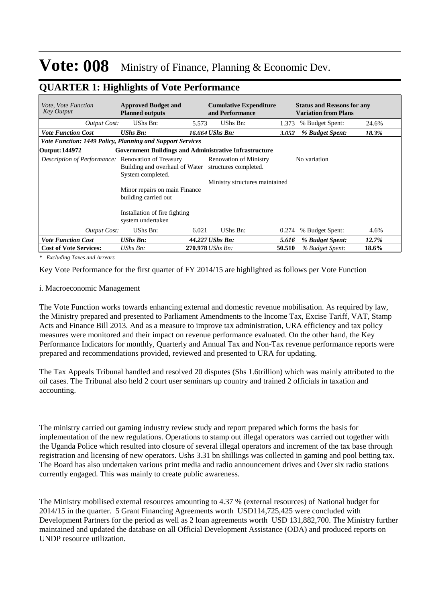### **QUARTER 1: Highlights of Vote Performance**

| <i>Vote. Vote Function</i><br><b>Key Output</b>           | <b>Approved Budget and</b><br><b>Planned outputs</b>          |       | <b>Cumulative Expenditure</b><br>and Performance       |        | <b>Status and Reasons for any</b><br><b>Variation from Plans</b> |       |
|-----------------------------------------------------------|---------------------------------------------------------------|-------|--------------------------------------------------------|--------|------------------------------------------------------------------|-------|
| Output Cost:                                              | UShs Bn:                                                      | 5.573 | UShs Bn:                                               | 1.373  | % Budget Spent:                                                  | 24.6% |
| <b>Vote Function Cost</b>                                 | <b>UShs Bn:</b>                                               |       | 16.664 UShs Bn:                                        | 3.052  | % Budget Spent:                                                  | 18.3% |
| Vote Function: 1449 Policy, Planning and Support Services |                                                               |       |                                                        |        |                                                                  |       |
| Output: 144972                                            | <b>Government Buildings and Administrative Infrastructure</b> |       |                                                        |        |                                                                  |       |
| <i>Description of Performance:</i> Renovation of Treasury | Building and overhaul of Water<br>System completed.           |       | <b>Renovation of Ministry</b><br>structures completed. |        | No variation                                                     |       |
|                                                           |                                                               |       | Ministry structures maintained                         |        |                                                                  |       |
|                                                           | Minor repairs on main Finance<br>building carried out         |       |                                                        |        |                                                                  |       |
|                                                           | Installation of fire fighting<br>system undertaken            |       |                                                        |        |                                                                  |       |
| <b>Output Cost:</b>                                       | UShs Bn:                                                      | 6.021 | UShs Bn:                                               | 0.274  | % Budget Spent:                                                  | 4.6%  |
| <b>Vote Function Cost</b>                                 | <b>UShs Bn:</b>                                               |       | 44.227 UShs Bn:                                        | 5.616  | % Budget Spent:                                                  | 12.7% |
| <b>Cost of Vote Services:</b>                             | $UShs Bn$ :                                                   |       | 270.978 UShs Bn:                                       | 50.510 | % Budget Spent:                                                  | 18.6% |

*\* Excluding Taxes and Arrears*

Key Vote Performance for the first quarter of FY 2014/15 are highlighted as follows per Vote Function

#### i. Macroeconomic Management

The Vote Function works towards enhancing external and domestic revenue mobilisation. As required by law, the Ministry prepared and presented to Parliament Amendments to the Income Tax, Excise Tariff, VAT, Stamp Acts and Finance Bill 2013. And as a measure to improve tax administration, URA efficiency and tax policy measures were monitored and their impact on revenue performance evaluated. On the other hand, the Key Performance Indicators for monthly, Quarterly and Annual Tax and Non-Tax revenue performance reports were prepared and recommendations provided, reviewed and presented to URA for updating.

The Tax Appeals Tribunal handled and resolved 20 disputes (Shs 1.6trillion) which was mainly attributed to the oil cases. The Tribunal also held 2 court user seminars up country and trained 2 officials in taxation and accounting.

The ministry carried out gaming industry review study and report prepared which forms the basis for implementation of the new regulations. Operations to stamp out illegal operators was carried out together with the Uganda Police which resulted into closure of several illegal operators and increment of the tax base through registration and licensing of new operators. Ushs 3.31 bn shillings was collected in gaming and pool betting tax. The Board has also undertaken various print media and radio announcement drives and Over six radio stations currently engaged. This was mainly to create public awareness.

The Ministry mobilised external resources amounting to 4.37 % (external resources) of National budget for 2014/15 in the quarter. 5 Grant Financing Agreements worth USD114,725,425 were concluded with Development Partners for the period as well as 2 loan agreements worth USD 131,882,700. The Ministry further maintained and updated the database on all Official Development Assistance (ODA) and produced reports on UNDP resource utilization.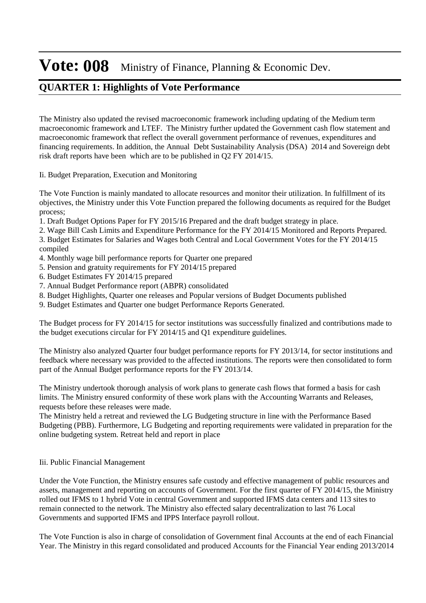### **QUARTER 1: Highlights of Vote Performance**

The Ministry also updated the revised macroeconomic framework including updating of the Medium term macroeconomic framework and LTEF. The Ministry further updated the Government cash flow statement and macroeconomic framework that reflect the overall government performance of revenues, expenditures and financing requirements. In addition, the Annual Debt Sustainability Analysis (DSA) 2014 and Sovereign debt risk draft reports have been which are to be published in Q2 FY 2014/15.

#### Ii. Budget Preparation, Execution and Monitoring

The Vote Function is mainly mandated to allocate resources and monitor their utilization. In fulfillment of its objectives, the Ministry under this Vote Function prepared the following documents as required for the Budget process;

1. Draft Budget Options Paper for FY 2015/16 Prepared and the draft budget strategy in place.

2. Wage Bill Cash Limits and Expenditure Performance for the FY 2014/15 Monitored and Reports Prepared. 3. Budget Estimates for Salaries and Wages both Central and Local Government Votes for the FY 2014/15 compiled

- 4. Monthly wage bill performance reports for Quarter one prepared
- 5. Pension and gratuity requirements for FY 2014/15 prepared
- 6. Budget Estimates FY 2014/15 prepared
- 7. Annual Budget Performance report (ABPR) consolidated
- 8. Budget Highlights, Quarter one releases and Popular versions of Budget Documents published
- 9. Budget Estimates and Quarter one budget Performance Reports Generated.

The Budget process for FY 2014/15 for sector institutions was successfully finalized and contributions made to the budget executions circular for FY 2014/15 and Q1 expenditure guidelines.

The Ministry also analyzed Quarter four budget performance reports for FY 2013/14, for sector institutions and feedback where necessary was provided to the affected institutions. The reports were then consolidated to form part of the Annual Budget performance reports for the FY 2013/14.

The Ministry undertook thorough analysis of work plans to generate cash flows that formed a basis for cash limits. The Ministry ensured conformity of these work plans with the Accounting Warrants and Releases, requests before these releases were made.

The Ministry held a retreat and reviewed the LG Budgeting structure in line with the Performance Based Budgeting (PBB). Furthermore, LG Budgeting and reporting requirements were validated in preparation for the online budgeting system. Retreat held and report in place

#### Iii. Public Financial Management

Under the Vote Function, the Ministry ensures safe custody and effective management of public resources and assets, management and reporting on accounts of Government. For the first quarter of FY 2014/15, the Ministry rolled out IFMS to 1 hybrid Vote in central Government and supported IFMS data centers and 113 sites to remain connected to the network. The Ministry also effected salary decentralization to last 76 Local Governments and supported IFMS and IPPS Interface payroll rollout.

The Vote Function is also in charge of consolidation of Government final Accounts at the end of each Financial Year. The Ministry in this regard consolidated and produced Accounts for the Financial Year ending 2013/2014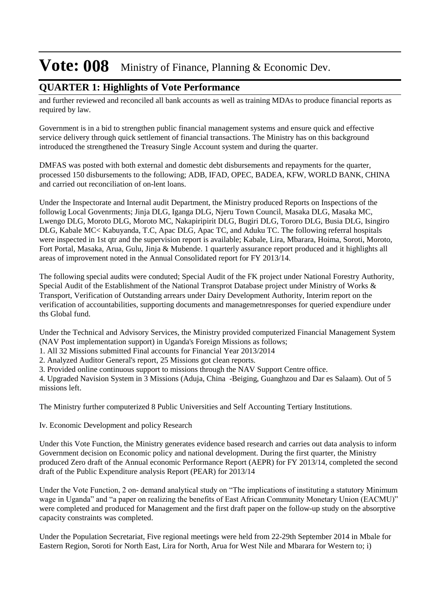#### **QUARTER 1: Highlights of Vote Performance**

and further reviewed and reconciled all bank accounts as well as training MDAs to produce financial reports as required by law.

Government is in a bid to strengthen public financial management systems and ensure quick and effective service delivery through quick settlement of financial transactions. The Ministry has on this background introduced the strengthened the Treasury Single Account system and during the quarter.

DMFAS was posted with both external and domestic debt disbursements and repayments for the quarter, processed 150 disbursements to the following; ADB, IFAD, OPEC, BADEA, KFW, WORLD BANK, CHINA and carried out reconciliation of on-lent loans.

Under the Inspectorate and Internal audit Department, the Ministry produced Reports on Inspections of the followig Local Govenrments; Jinja DLG, Iganga DLG, Njeru Town Council, Masaka DLG, Masaka MC, Lwengo DLG, Moroto DLG, Moroto MC, Nakapiripirit DLG, Bugiri DLG, Tororo DLG, Busia DLG, Isingiro DLG, Kabale MC< Kabuyanda, T.C, Apac DLG, Apac TC, and Aduku TC. The following referral hospitals were inspected in 1st qtr and the supervision report is available; Kabale, Lira, Mbarara, Hoima, Soroti, Moroto, Fort Portal, Masaka, Arua, Gulu, Jinja & Mubende. 1 quarterly assurance report produced and it highlights all areas of improvement noted in the Annual Consolidated report for FY 2013/14.

The following special audits were conduted; Special Audit of the FK project under National Forestry Authority, Special Audit of the Establishment of the National Transprot Database project under Ministry of Works & Transport, Verification of Outstanding arrears under Dairy Development Authority, Interim report on the verification of accountabilities, supporting documents and managemetnresponses for queried expendiure under ths Global fund.

Under the Technical and Advisory Services, the Ministry provided computerized Financial Management System (NAV Post implementation support) in Uganda's Foreign Missions as follows;

1. All 32 Missions submitted Final accounts for Financial Year 2013/2014

2. Analyzed Auditor General's report, 25 Missions got clean reports.

3. Provided online continuous support to missions through the NAV Support Centre office.

4. Upgraded Navision System in 3 Missions (Aduja, China -Beiging, Guanghzou and Dar es Salaam). Out of 5 missions left.

The Ministry further computerized 8 Public Universities and Self Accounting Tertiary Institutions.

Iv. Economic Development and policy Research

Under this Vote Function, the Ministry generates evidence based research and carries out data analysis to inform Government decision on Economic policy and national development. During the first quarter, the Ministry produced Zero draft of the Annual economic Performance Report (AEPR) for FY 2013/14, completed the second draft of the Public Expenditure analysis Report (PEAR) for 2013/14

Under the Vote Function, 2 on- demand analytical study on "The implications of instituting a statutory Minimum wage in Uganda" and "a paper on realizing the benefits of East African Community Monetary Union (EACMU)" were completed and produced for Management and the first draft paper on the follow-up study on the absorptive capacity constraints was completed.

Under the Population Secretariat, Five regional meetings were held from 22-29th September 2014 in Mbale for Eastern Region, Soroti for North East, Lira for North, Arua for West Nile and Mbarara for Western to; i)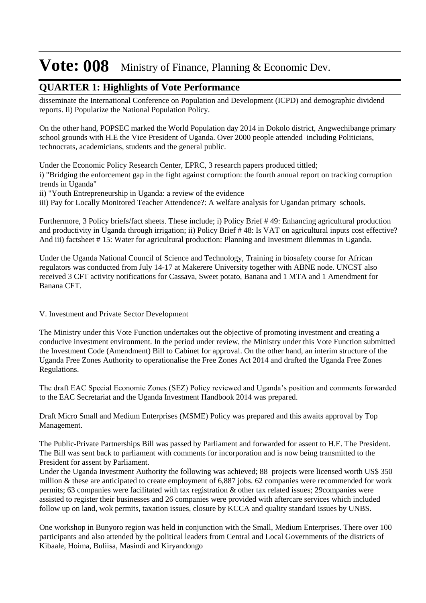#### **QUARTER 1: Highlights of Vote Performance**

disseminate the International Conference on Population and Development (ICPD) and demographic dividend reports. Ii) Popularize the National Population Policy.

On the other hand, POPSEC marked the World Population day 2014 in Dokolo district, Angwechibange primary school grounds with H.E the Vice President of Uganda. Over 2000 people attended including Politicians, technocrats, academicians, students and the general public.

Under the Economic Policy Research Center, EPRC, 3 research papers produced tittled; i) "Bridging the enforcement gap in the fight against corruption: the fourth annual report on tracking corruption trends in Uganda"

ii) "Youth Entrepreneurship in Uganda: a review of the evidence

iii) Pay for Locally Monitored Teacher Attendence?: A welfare analysis for Ugandan primary schools.

Furthermore, 3 Policy briefs/fact sheets. These include; i) Policy Brief # 49: Enhancing agricultural production and productivity in Uganda through irrigation; ii) Policy Brief # 48: Is VAT on agricultural inputs cost effective? And iii) factsheet # 15: Water for agricultural production: Planning and Investment dilemmas in Uganda.

Under the Uganda National Council of Science and Technology, Training in biosafety course for African regulators was conducted from July 14-17 at Makerere University together with ABNE node. UNCST also received 3 CFT activity notifications for Cassava, Sweet potato, Banana and 1 MTA and 1 Amendment for Banana CFT.

#### V. Investment and Private Sector Development

The Ministry under this Vote Function undertakes out the objective of promoting investment and creating a conducive investment environment. In the period under review, the Ministry under this Vote Function submitted the Investment Code (Amendment) Bill to Cabinet for approval. On the other hand, an interim structure of the Uganda Free Zones Authority to operationalise the Free Zones Act 2014 and drafted the Uganda Free Zones Regulations.

The draft EAC Special Economic Zones (SEZ) Policy reviewed and Uganda's position and comments forwarded to the EAC Secretariat and the Uganda Investment Handbook 2014 was prepared.

Draft Micro Small and Medium Enterprises (MSME) Policy was prepared and this awaits approval by Top Management.

The Public-Private Partnerships Bill was passed by Parliament and forwarded for assent to H.E. The President. The Bill was sent back to parliament with comments for incorporation and is now being transmitted to the President for assent by Parliament.

Under the Uganda Investment Authority the following was achieved; 88 projects were licensed worth US\$ 350 million & these are anticipated to create employment of 6,887 jobs. 62 companies were recommended for work permits; 63 companies were facilitated with tax registration & other tax related issues; 29companies were assisted to register their businesses and 26 companies were provided with aftercare services which included follow up on land, wok permits, taxation issues, closure by KCCA and quality standard issues by UNBS.

One workshop in Bunyoro region was held in conjunction with the Small, Medium Enterprises. There over 100 participants and also attended by the political leaders from Central and Local Governments of the districts of Kibaale, Hoima, Buliisa, Masindi and Kiryandongo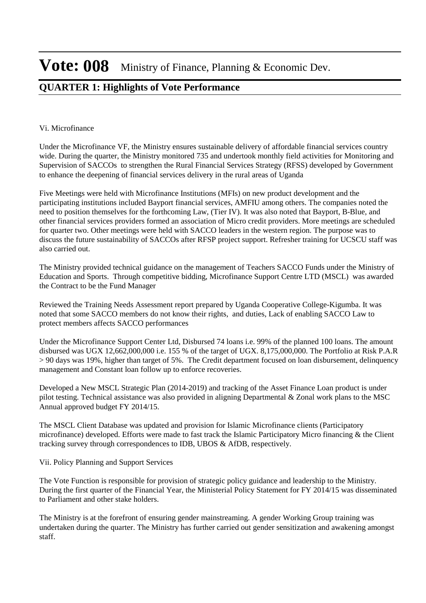### **QUARTER 1: Highlights of Vote Performance**

#### Vi. Microfinance

Under the Microfinance VF, the Ministry ensures sustainable delivery of affordable financial services country wide. During the quarter, the Ministry monitored 735 and undertook monthly field activities for Monitoring and Supervision of SACCOs to strengthen the Rural Financial Services Strategy (RFSS) developed by Government to enhance the deepening of financial services delivery in the rural areas of Uganda

Five Meetings were held with Microfinance Institutions (MFIs) on new product development and the participating institutions included Bayport financial services, AMFIU among others. The companies noted the need to position themselves for the forthcoming Law, (Tier IV). It was also noted that Bayport, B-Blue, and other financial services providers formed an association of Micro credit providers. More meetings are scheduled for quarter two. Other meetings were held with SACCO leaders in the western region. The purpose was to discuss the future sustainability of SACCOs after RFSP project support. Refresher training for UCSCU staff was also carried out.

The Ministry provided technical guidance on the management of Teachers SACCO Funds under the Ministry of Education and Sports. Through competitive bidding, Microfinance Support Centre LTD (MSCL) was awarded the Contract to be the Fund Manager

Reviewed the Training Needs Assessment report prepared by Uganda Cooperative College-Kigumba. It was noted that some SACCO members do not know their rights, and duties, Lack of enabling SACCO Law to protect members affects SACCO performances

Under the Microfinance Support Center Ltd, Disbursed 74 loans i.e. 99% of the planned 100 loans. The amount disbursed was UGX 12,662,000,000 i.e. 155 % of the target of UGX. 8,175,000,000. The Portfolio at Risk P.A.R > 90 days was 19%, higher than target of 5%. The Credit department focused on loan disbursement, delinquency management and Constant loan follow up to enforce recoveries.

Developed a New MSCL Strategic Plan (2014-2019) and tracking of the Asset Finance Loan product is under pilot testing. Technical assistance was also provided in aligning Departmental & Zonal work plans to the MSC Annual approved budget FY 2014/15.

The MSCL Client Database was updated and provision for Islamic Microfinance clients (Participatory microfinance) developed. Efforts were made to fast track the Islamic Participatory Micro financing & the Client tracking survey through correspondences to IDB, UBOS & AfDB, respectively.

Vii. Policy Planning and Support Services

The Vote Function is responsible for provision of strategic policy guidance and leadership to the Ministry. During the first quarter of the Financial Year, the Ministerial Policy Statement for FY 2014/15 was disseminated to Parliament and other stake holders.

The Ministry is at the forefront of ensuring gender mainstreaming. A gender Working Group training was undertaken during the quarter. The Ministry has further carried out gender sensitization and awakening amongst staff.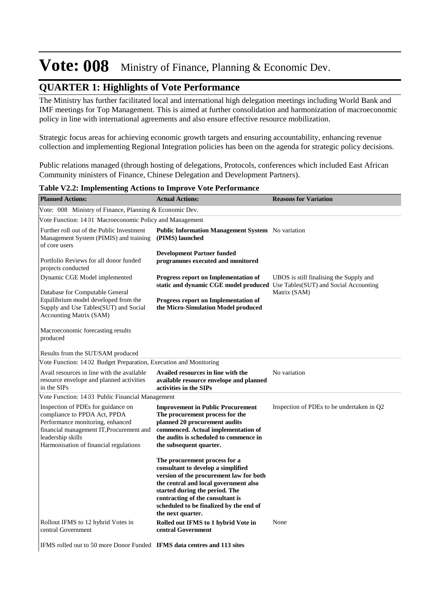### **QUARTER 1: Highlights of Vote Performance**

The Ministry has further facilitated local and international high delegation meetings including World Bank and IMF meetings for Top Management. This is aimed at further consolidation and harmonization of macroeconomic policy in line with international agreements and also ensure effective resource mobilization.

Strategic focus areas for achieving economic growth targets and ensuring accountability, enhancing revenue collection and implementing Regional Integration policies has been on the agenda for strategic policy decisions.

Public relations managed (through hosting of delegations, Protocols, conferences which included East African Community ministers of Finance, Chinese Delegation and Development Partners).

**Planned Actions: Actual Actions: Reasons for Variation** Vote: 008 Ministry of Finance, Planning & Economic Dev. Vote Function: 14 01 Macroeconomic Policy and Management Further roll out of the Public Investment Management System (PIMIS) and training of core users Portfolio Reviews for all donor funded projects conducted **Public Information Management System** No variation **(PIMS) launched Development Partner funded programmes executed and monitored** Dynamic CGE Model implemented Database for Computable General Equilibrium model developed from the Supply and Use Tables(SUT) and Social Accounting Matrix (SAM) Macroeconomic forecasting results produced Results from the SUT/SAM produced UBOS is still finalising the Supply and static and dynamic CGE model produced Use Tables(SUT) and Social Accounting Matrix (SAM) **Progress report on Implementation of Progress report on Implementation of the Micro-Simulation Model produced** Vote Function: 14 02 Budget Preparation, Execution and Monitoring Avail resources in line with the available resource envelope and planned activities in the SIPs **Availed resources in line with the**  No variation **available resource envelope and planned activities in the SIPs** Vote Function: 14 03 Public Financial Management Inspection of PDEs for guidance on compliance to PPDA Act, PPDA Performance monitoring, enhanced financial management IT,Procurement and leadership skills Harmonisation of financial regulations **Improvement in Public Procurement** Inspection of PDEs to be undertaken in Q2 **The procurement process for the planned 20 procurement audits commenced. Actual implementation of the audits is scheduled to commence in the subsequent quarter. The procurement process for a consultant to develop a simplified version of the procurement law for both the central and local government also started during the period. The contracting of the consultant is scheduled to be finalized by the end of the next quarter.**

**Rolled out IFMS to 1 hybrid Vote in 3 None** 

**central Government** 

**Table V2.2: Implementing Actions to Improve Vote Performance**

IFMS rolled out to 50 more Donor Funded **IFMS data centres and 113 sites** 

Rollout IFMS to 12 hybrid Votes in

central Government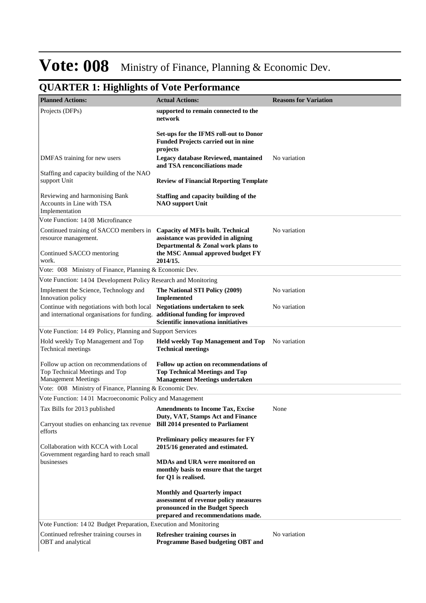| <b>Planned Actions:</b>                                                                                                    | <b>Actual Actions:</b>                                                                                                                                | <b>Reasons for Variation</b> |
|----------------------------------------------------------------------------------------------------------------------------|-------------------------------------------------------------------------------------------------------------------------------------------------------|------------------------------|
| Projects (DFPs)                                                                                                            | supported to remain connected to the<br>network                                                                                                       |                              |
|                                                                                                                            | Set-ups for the IFMS roll-out to Donor<br><b>Funded Projects carried out in nine</b><br>projects                                                      |                              |
| DMFAS training for new users                                                                                               | <b>Legacy database Reviewed, mantained</b><br>and TSA renconciliations made                                                                           | No variation                 |
| Staffing and capacity building of the NAO<br>support Unit                                                                  | <b>Review of Financial Reporting Template</b>                                                                                                         |                              |
| Reviewing and harmonising Bank<br>Accounts in Line with TSA<br>Implementation                                              | Staffing and capacity building of the<br><b>NAO</b> support Unit                                                                                      |                              |
| Vote Function: 1408 Microfinance                                                                                           |                                                                                                                                                       |                              |
| Continued training of SACCO members in<br>resource management.                                                             | <b>Capacity of MFIs built. Technical</b><br>assistance was provided in aligning<br>Departmental & Zonal work plans to                                 | No variation                 |
| Continued SACCO mentoring<br>work.                                                                                         | the MSC Annual approved budget FY<br>2014/15.                                                                                                         |                              |
| Vote: 008 Ministry of Finance, Planning & Economic Dev.                                                                    |                                                                                                                                                       |                              |
| Vote Function: 1404 Development Policy Research and Monitoring                                                             |                                                                                                                                                       |                              |
| Implement the Science, Technology and<br>Innovation policy                                                                 | The National STI Policy (2009)<br><b>Implemented</b>                                                                                                  | No variation                 |
| Continue with negotiations with both local<br>and international organisations for funding. additional funding for improved | <b>Negotiations undertaken to seek</b><br>Scientific innovationa innitiatives                                                                         | No variation                 |
| Vote Function: 14 49 Policy, Planning and Support Services                                                                 |                                                                                                                                                       |                              |
| Hold weekly Top Management and Top<br>Technical meetings                                                                   | <b>Held weekly Top Management and Top</b><br><b>Technical meetings</b>                                                                                | No variation                 |
| Follow up action on recommendations of<br>Top Technical Meetings and Top<br><b>Management Meetings</b>                     | Follow up action on recommendations of<br><b>Top Technical Meetings and Top</b><br><b>Management Meetings undertaken</b>                              |                              |
| Vote: 008 Ministry of Finance, Planning & Economic Dev.                                                                    |                                                                                                                                                       |                              |
| Vote Function: 1401 Macroeconomic Policy and Management                                                                    |                                                                                                                                                       |                              |
| Tax Bills for 2013 published                                                                                               | <b>Amendments to Income Tax, Excise</b>                                                                                                               | None                         |
| Carryout studies on enhancing tax revenue<br>efforts                                                                       | Duty, VAT, Stamps Act and Finance<br><b>Bill 2014 presented to Parliament</b>                                                                         |                              |
| Collaboration with KCCA with Local<br>Government regarding hard to reach small                                             | Preliminary policy measures for FY<br>2015/16 generated and estimated.                                                                                |                              |
| businesses                                                                                                                 | <b>MDAs and URA were monitored on</b><br>monthly basis to ensure that the target<br>for Q1 is realised.                                               |                              |
|                                                                                                                            | <b>Monthly and Quarterly impact</b><br>assessment of revenue policy measures<br>pronounced in the Budget Speech<br>prepared and recommendations made. |                              |
| Vote Function: 1402 Budget Preparation, Execution and Monitoring                                                           |                                                                                                                                                       |                              |
| Continued refresher training courses in<br>OBT and analytical                                                              | Refresher training courses in<br>Programme Based budgeting OBT and                                                                                    | No variation                 |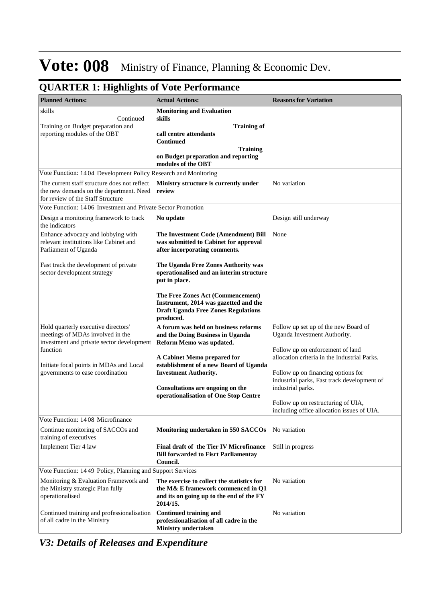### **QUARTER 1: Highlights of Vote Performance**

| <b>Planned Actions:</b>                                                                                                      | <b>Actual Actions:</b>                                                                                                                   | <b>Reasons for Variation</b>                                                      |
|------------------------------------------------------------------------------------------------------------------------------|------------------------------------------------------------------------------------------------------------------------------------------|-----------------------------------------------------------------------------------|
| skills                                                                                                                       | <b>Monitoring and Evaluation</b>                                                                                                         |                                                                                   |
| Continued<br>Training on Budget preparation and                                                                              | skills<br><b>Training of</b>                                                                                                             |                                                                                   |
| reporting modules of the OBT                                                                                                 | call centre attendants<br><b>Continued</b>                                                                                               |                                                                                   |
|                                                                                                                              | <b>Training</b><br>on Budget preparation and reporting<br>modules of the OBT                                                             |                                                                                   |
| Vote Function: 1404 Development Policy Research and Monitoring                                                               |                                                                                                                                          |                                                                                   |
| The current staff structure does not reflect<br>the new demands on the department. Need<br>for review of the Staff Structure | Ministry structure is currently under<br>review                                                                                          | No variation                                                                      |
| Vote Function: 1406 Investment and Private Sector Promotion                                                                  |                                                                                                                                          |                                                                                   |
| Design a monitoring framework to track<br>the indicators                                                                     | No update                                                                                                                                | Design still underway                                                             |
| Enhance advocacy and lobbying with<br>relevant institutions like Cabinet and<br>Parliament of Uganda                         | The Investment Code (Amendment) Bill<br>was submitted to Cabinet for approval<br>after incorporating comments.                           | None                                                                              |
| Fast track the development of private<br>sector development strategy                                                         | The Uganda Free Zones Authority was<br>operationalised and an interim structure<br>put in place.                                         |                                                                                   |
|                                                                                                                              | The Free Zones Act (Commencement)<br>Instrument, 2014 was gazetted and the<br><b>Draft Uganda Free Zones Regulations</b><br>produced.    |                                                                                   |
| Hold quarterly executive directors'<br>meetings of MDAs involved in the<br>investment and private sector development         | A forum was held on business reforms<br>and the Doing Business in Uganda<br>Reform Memo was updated.                                     | Follow up set up of the new Board of<br>Uganda Investment Authority.              |
| function                                                                                                                     |                                                                                                                                          | Follow up on enforcement of land                                                  |
| Initiate focal points in MDAs and Local                                                                                      | A Cabinet Memo prepared for<br>establishment of a new Board of Uganda                                                                    | allocation criteria in the Industrial Parks.                                      |
| governments to ease coordination                                                                                             | <b>Investment Authority.</b>                                                                                                             | Follow up on financing options for<br>industrial parks, Fast track development of |
|                                                                                                                              | Consultations are ongoing on the<br>operationalisation of One Stop Centre                                                                | industrial parks.                                                                 |
|                                                                                                                              |                                                                                                                                          | Follow up on restructuring of UIA,<br>including office allocation issues of UIA.  |
| Vote Function: 1408 Microfinance                                                                                             |                                                                                                                                          |                                                                                   |
| Continue monitoring of SACCOs and<br>training of executives                                                                  | Monitoring undertaken in 550 SACCOs                                                                                                      | No variation                                                                      |
| Implement Tier 4 law                                                                                                         | Final draft of the Tier IV Microfinance<br><b>Bill forwarded to Fisrt Parliamentay</b><br>Council.                                       | Still in progress                                                                 |
| Vote Function: 14 49 Policy, Planning and Support Services                                                                   |                                                                                                                                          |                                                                                   |
| Monitoring & Evaluation Framework and<br>the Ministry strategic Plan fully<br>operationalised                                | The exercise to collect the statistics for<br>the M& E framework commenced in Q1<br>and its on going up to the end of the FY<br>2014/15. | No variation                                                                      |
| Continued training and professionalisation<br>of all cadre in the Ministry                                                   | <b>Continued training and</b><br>professionalisation of all cadre in the<br><b>Ministry undertaken</b>                                   | No variation                                                                      |

*V3: Details of Releases and Expenditure*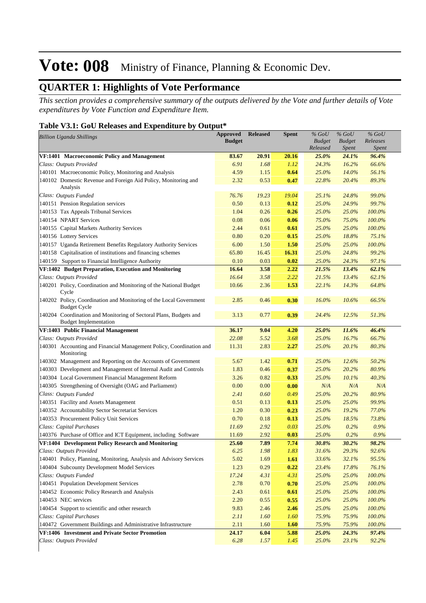### **QUARTER 1: Highlights of Vote Performance**

*This section provides a comprehensive summary of the outputs delivered by the Vote and further details of Vote expenditures by Vote Function and Expenditure Item.*

#### **Table V3.1: GoU Releases and Expenditure by Output\***

| <b>Billion Uganda Shillings</b>                                                                   | <b>Approved</b><br><b>Budget</b> | <b>Released</b> | <b>Spent</b> | $%$ GoU<br><b>Budget</b><br>Released | $%$ GoU<br><b>Budget</b><br><i>Spent</i> | $%$ GoU<br>Releases<br>Spent |
|---------------------------------------------------------------------------------------------------|----------------------------------|-----------------|--------------|--------------------------------------|------------------------------------------|------------------------------|
| VF:1401 Macroeconomic Policy and Management                                                       | 83.67                            | 20.91           | 20.16        | 25.0%                                | 24.1%                                    | 96.4%                        |
| Class: Outputs Provided                                                                           | 6.91                             | 1.68            | 1.12         | 24.3%                                | 16.2%                                    | 66.6%                        |
| 140101 Macroeconomic Policy, Monitoring and Analysis                                              | 4.59                             | 1.15            | 0.64         | 25.0%                                | 14.0%                                    | 56.1%                        |
| 140102 Domestic Revenue and Foreign Aid Policy, Monitoring and<br>Analysis                        | 2.32                             | 0.53            | 0.47         | 22.8%                                | 20.4%                                    | 89.3%                        |
| Class: Outputs Funded                                                                             | 76.76                            | 19.23           | 19.04        | 25.1%                                | 24.8%                                    | 99.0%                        |
| 140151 Pension Regulation services                                                                | 0.50                             | 0.13            | 0.12         | 25.0%                                | 24.9%                                    | 99.7%                        |
| 140153 Tax Appeals Tribunal Services                                                              | 1.04                             | 0.26            | 0.26         | 25.0%                                | 25.0%                                    | 100.0%                       |
| 140154 NPART Services                                                                             | 0.08                             | 0.06            | 0.06         | 75.0%                                | 75.0%                                    | 100.0%                       |
| 140155 Capital Markets Authority Services                                                         | 2.44                             | 0.61            | 0.61         | 25.0%                                | 25.0%                                    | 100.0%                       |
| 140156 Lottery Services                                                                           | 0.80                             | 0.20            | 0.15         | 25.0%                                | 18.8%                                    | 75.1%                        |
| 140157 Uganda Retirement Benefits Regulatory Authority Services                                   | 6.00                             | 1.50            | 1.50         | 25.0%                                | 25.0%                                    | 100.0%                       |
| 140158 Capitalisation of institutions and financing schemes                                       | 65.80                            | 16.45           | 16.31        | 25.0%                                | 24.8%                                    | 99.2%                        |
| 140159 Support to Financial Intelligence Authority                                                | 0.10                             | 0.03            | 0.02         | 25.0%                                | 24.3%                                    | 97.1%                        |
| VF:1402 Budget Preparation, Execution and Monitoring                                              | 16.64                            | 3.58            | 2.22         | 21.5%                                | 13.4%                                    | 62.1%                        |
| Class: Outputs Provided                                                                           | 16.64                            | 3.58            | 2.22         | 21.5%                                | 13.4%                                    | 62.1%                        |
| 140201 Policy, Coordination and Monitoring of the National Budget<br>Cycle                        | 10.66                            | 2.36            | 1.53         | 22.1%                                | 14.3%                                    | 64.8%                        |
| 140202 Policy, Coordination and Monitoring of the Local Government<br><b>Budget Cycle</b>         | 2.85                             | 0.46            | 0.30         | 16.0%                                | 10.6%                                    | 66.5%                        |
| 140204 Coordination and Monitoring of Sectoral Plans, Budgets and<br><b>Budget Implementation</b> | 3.13                             | 0.77            | 0.39         | 24.4%                                | 12.5%                                    | 51.3%                        |
| VF:1403 Public Financial Management                                                               | 36.17                            | 9.04            | 4.20         | 25.0%                                | 11.6%                                    | 46.4%                        |
| Class: Outputs Provided                                                                           | 22.08                            | 5.52            | 3.68         | 25.0%                                | 16.7%                                    | 66.7%                        |
| 140301 Accounting and Financial Management Policy, Coordination and<br>Monitoring                 | 11.31                            | 2.83            | 2.27         | 25.0%                                | 20.1%                                    | 80.3%                        |
| 140302 Management and Reporting on the Accounts of Government                                     | 5.67                             | 1.42            | 0.71         | 25.0%                                | 12.6%                                    | 50.2%                        |
| 140303 Development and Management of Internal Audit and Controls                                  | 1.83                             | 0.46            | 0.37         | 25.0%                                | 20.2%                                    | 80.9%                        |
| 140304 Local Government Financial Management Reform                                               | 3.26                             | 0.82            | 0.33         | 25.0%                                | 10.1%                                    | 40.3%                        |
| 140305 Strengthening of Oversight (OAG and Parliament)                                            | 0.00                             | 0.00            | 0.00         | N/A                                  | N/A                                      | N/A                          |
| Class: Outputs Funded                                                                             | 2.41                             | 0.60            | 0.49         | 25.0%                                | 20.2%                                    | 80.9%                        |
| 140351 Facility and Assets Management                                                             | 0.51                             | 0.13            | 0.13         | 25.0%                                | 25.0%                                    | 99.9%                        |
| 140352 Accountability Sector Secretariat Services                                                 | 1.20                             | 0.30            | 0.23         | 25.0%                                | 19.2%                                    | 77.0%                        |
| 140353 Procurement Policy Unit Services                                                           | 0.70                             | 0.18            | 0.13         | 25.0%                                | 18.5%                                    | 73.8%                        |
| Class: Capital Purchases                                                                          | 11.69                            | 2.92            | 0.03         | 25.0%                                | 0.2%                                     | 0.9%                         |
| 140376 Purchase of Office and ICT Equipment, including Software                                   | 11.69                            | 2.92            | 0.03         | 25.0%                                | 0.2%                                     | 0.9%                         |
| VF:1404 Development Policy Research and Monitoring                                                | 25.60                            | 7.89            | 7.74         | 30.8%                                | 30.2%                                    | 98.2%                        |
| Class: Outputs Provided                                                                           | 6.25                             | 1.98            | 1.83         | 31.6%                                | 29.3%                                    | 92.6%                        |
| 140401 Policy, Planning, Monitoring, Analysis and Advisory Services                               | 5.02                             | 1.69            | <b>1.61</b>  | 33.6%                                | 32.1%                                    | 95.5%                        |
| 140404 Subcounty Development Model Services                                                       | 1.23                             | 0.29            | 0.22         | 23.4%                                | 17.8%                                    | 76.1%                        |
| Class: Outputs Funded                                                                             | 17.24                            | 4.31            | 4.31         | 25.0%                                | 25.0%                                    | 100.0%                       |
| 140451 Population Development Services                                                            | 2.78                             | 0.70            | 0.70         | 25.0%                                | 25.0%                                    | 100.0%                       |
| 140452 Economic Policy Research and Analysis                                                      | 2.43                             | 0.61            | 0.61         | 25.0%                                | 25.0%                                    | 100.0%                       |
| 140453 NEC services                                                                               | 2.20                             | 0.55            | 0.55         | 25.0%                                | 25.0%                                    | 100.0%                       |
| 140454 Support to scientific and other research                                                   | 9.83                             | 2.46            | 2.46         | 25.0%                                | 25.0%                                    | 100.0%                       |
| Class: Capital Purchases                                                                          | 2.11                             | 1.60            | 1.60         | 75.9%                                | 75.9%                                    | 100.0%                       |
| 140472 Government Buildings and Administrative Infrastructure                                     | 2.11                             | 1.60            | <b>1.60</b>  | 75.9%                                | 75.9%                                    | 100.0%                       |
| VF:1406 Investment and Private Sector Promotion<br>Class: Outputs Provided                        | 24.17<br>6.28                    | 6.04<br>1.57    | 5.88<br>1.45 | 25.0%<br>25.0%                       | 24.3%<br>23.1%                           | 97.4%<br>92.2%               |
|                                                                                                   |                                  |                 |              |                                      |                                          |                              |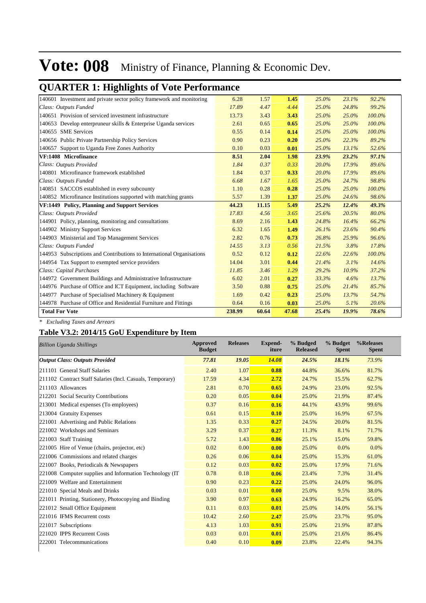### **QUARTER 1: Highlights of Vote Performance**

| 140601 Investment and private sector policy framework and monitoring  | 6.28   | 1.57  | 1.45  | 25.0% | 23.1% | 92.2%  |
|-----------------------------------------------------------------------|--------|-------|-------|-------|-------|--------|
| Class: Outputs Funded                                                 | 17.89  | 4.47  | 4.44  | 25.0% | 24.8% | 99.2%  |
| 140651 Provision of serviced investment infrastructure                | 13.73  | 3.43  | 3.43  | 25.0% | 25.0% | 100.0% |
|                                                                       |        |       | 0.65  |       |       | 100.0% |
| 140653 Develop enterpruneur skills & Enterprise Uganda services       | 2.61   | 0.65  |       | 25.0% | 25.0% |        |
| 140655 SME Services                                                   | 0.55   | 0.14  | 0.14  | 25.0% | 25.0% | 100.0% |
| 140656 Public Private Partnership Policy Services                     | 0.90   | 0.23  | 0.20  | 25.0% | 22.3% | 89.2%  |
| 140657 Support to Uganda Free Zones Authority                         | 0.10   | 0.03  | 0.01  | 25.0% | 13.1% | 52.6%  |
| VF:1408 Microfinance                                                  | 8.51   | 2.04  | 1.98  | 23.9% | 23.2% | 97.1%  |
| Class: Outputs Provided                                               | 1.84   | 0.37  | 0.33  | 20.0% | 17.9% | 89.6%  |
| 140801 Microfinance framework established                             | 1.84   | 0.37  | 0.33  | 20.0% | 17.9% | 89.6%  |
| Class: Outputs Funded                                                 | 6.68   | 1.67  | 1.65  | 25.0% | 24.7% | 98.8%  |
| 140851 SACCOS established in every subcounty                          | 1.10   | 0.28  | 0.28  | 25.0% | 25.0% | 100.0% |
| 140852 Microfinance Institutions supported with matching grants       | 5.57   | 1.39  | 1.37  | 25.0% | 24.6% | 98.6%  |
| VF:1449 Policy, Planning and Support Services                         | 44.23  | 11.15 | 5.49  | 25.2% | 12.4% | 49.3%  |
| Class: Outputs Provided                                               | 17.83  | 4.56  | 3.65  | 25.6% | 20.5% | 80.0%  |
| 144901 Policy, planning, monitoring and consultations                 | 8.69   | 2.16  | 1.43  | 24.8% | 16.4% | 66.2%  |
| 144902 Ministry Support Services                                      | 6.32   | 1.65  | 1.49  | 26.1% | 23.6% | 90.4%  |
| 144903 Ministerial and Top Management Services                        | 2.82   | 0.76  | 0.73  | 26.8% | 25.9% | 96.6%  |
| Class: Outputs Funded                                                 | 14.55  | 3.13  | 0.56  | 21.5% | 3.8%  | 17.8%  |
| 144953 Subscriptions and Contributions to International Organisations | 0.52   | 0.12  | 0.12  | 22.6% | 22.6% | 100.0% |
| 144954 Tax Support to exempted service providers                      | 14.04  | 3.01  | 0.44  | 21.4% | 3.1%  | 14.6%  |
| Class: Capital Purchases                                              | 11.85  | 3.46  | 1.29  | 29.2% | 10.9% | 37.2%  |
| 144972 Government Buildings and Administrative Infrastructure         | 6.02   | 2.01  | 0.27  | 33.3% | 4.6%  | 13.7%  |
| 144976 Purchase of Office and ICT Equipment, including Software       | 3.50   | 0.88  | 0.75  | 25.0% | 21.4% | 85.7%  |
| 144977 Purchase of Specialised Machinery & Equipment                  | 1.69   | 0.42  | 0.23  | 25.0% | 13.7% | 54.7%  |
| 144978 Purchase of Office and Residential Furniture and Fittings      | 0.64   | 0.16  | 0.03  | 25.0% | 5.1%  | 20.6%  |
| <b>Total For Vote</b>                                                 | 238.99 | 60.64 | 47.68 | 25.4% | 19.9% | 78.6%  |

*\* Excluding Taxes and Arrears*

#### **Table V3.2: 2014/15 GoU Expenditure by Item**

| <b>Billion Uganda Shillings</b>                           | <b>Approved</b><br><b>Budget</b> | <b>Releases</b> | <b>Expend-</b><br>iture | % Budged<br><b>Released</b> | % Budget<br><b>Spent</b> | %Releases<br><b>Spent</b> |
|-----------------------------------------------------------|----------------------------------|-----------------|-------------------------|-----------------------------|--------------------------|---------------------------|
| <b>Output Class: Outputs Provided</b>                     | 77.81                            | 19.05           | 14.08                   | 24.5%                       | 18.1%                    | 73.9%                     |
| 211101 General Staff Salaries                             | 2.40                             | 1.07            | 0.88                    | 44.8%                       | 36.6%                    | 81.7%                     |
| 211102 Contract Staff Salaries (Incl. Casuals, Temporary) | 17.59                            | 4.34            | 2.72                    | 24.7%                       | 15.5%                    | 62.7%                     |
| 211103 Allowances                                         | 2.81                             | 0.70            | 0.65                    | 24.9%                       | 23.0%                    | 92.5%                     |
| 212201 Social Security Contributions                      | 0.20                             | 0.05            | 0.04                    | 25.0%                       | 21.9%                    | 87.4%                     |
| 213001 Medical expenses (To employees)                    | 0.37                             | 0.16            | 0.16                    | 44.1%                       | 43.9%                    | 99.6%                     |
| 213004 Gratuity Expenses                                  | 0.61                             | 0.15            | 0.10                    | 25.0%                       | 16.9%                    | 67.5%                     |
| 221001 Advertising and Public Relations                   | 1.35                             | 0.33            | 0.27                    | 24.5%                       | 20.0%                    | 81.5%                     |
| 221002 Workshops and Seminars                             | 3.29                             | 0.37            | 0.27                    | 11.3%                       | 8.1%                     | 71.7%                     |
| 221003 Staff Training                                     | 5.72                             | 1.43            | 0.86                    | 25.1%                       | 15.0%                    | 59.8%                     |
| 221005 Hire of Venue (chairs, projector, etc)             | 0.02                             | 0.00            | 0.00                    | 25.0%                       | 0.0%                     | 0.0%                      |
| 221006 Commissions and related charges                    | 0.26                             | 0.06            | 0.04                    | 25.0%                       | 15.3%                    | 61.0%                     |
| 221007 Books, Periodicals & Newspapers                    | 0.12                             | 0.03            | 0.02                    | 25.0%                       | 17.9%                    | 71.6%                     |
| 221008 Computer supplies and Information Technology (IT)  | 0.78                             | 0.18            | 0.06                    | 23.4%                       | 7.3%                     | 31.4%                     |
| 221009 Welfare and Entertainment                          | 0.90                             | 0.23            | 0.22                    | 25.0%                       | 24.0%                    | 96.0%                     |
| 221010 Special Meals and Drinks                           | 0.03                             | 0.01            | 0.00                    | 25.0%                       | 9.5%                     | 38.0%                     |
| 221011 Printing, Stationery, Photocopying and Binding     | 3.90                             | 0.97            | 0.63                    | 24.9%                       | 16.2%                    | 65.0%                     |
| 221012 Small Office Equipment                             | 0.11                             | 0.03            | 0.01                    | 25.0%                       | 14.0%                    | 56.1%                     |
| 221016 IFMS Recurrent costs                               | 10.42                            | 2.60            | 2.47                    | 25.0%                       | 23.7%                    | 95.0%                     |
| 221017 Subscriptions                                      | 4.13                             | 1.03            | 0.91                    | 25.0%                       | 21.9%                    | 87.8%                     |
| 221020 IPPS Recurrent Costs                               | 0.03                             | 0.01            | 0.01                    | 25.0%                       | 21.6%                    | 86.4%                     |
| 222001 Telecommunications                                 | 0.40                             | 0.10            | 0.09                    | 23.8%                       | 22.4%                    | 94.3%                     |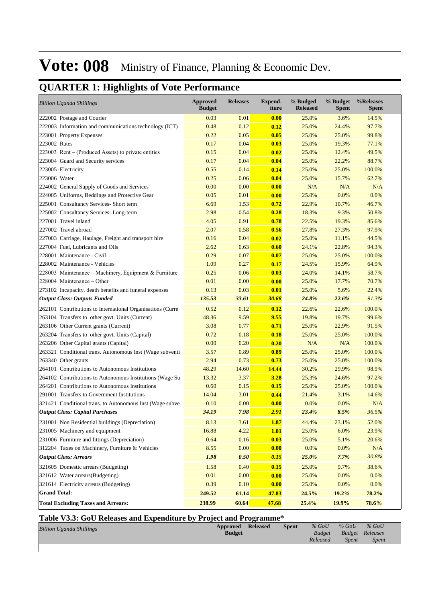### **QUARTER 1: Highlights of Vote Performance**

| <b>Billion Uganda Shillings</b>                            | <b>Approved</b><br><b>Budget</b> | <b>Releases</b> | <b>Expend-</b><br>iture | % Budged<br><b>Released</b> | % Budget<br><b>Spent</b> | %Releases<br><b>Spent</b> |
|------------------------------------------------------------|----------------------------------|-----------------|-------------------------|-----------------------------|--------------------------|---------------------------|
| 222002 Postage and Courier                                 | 0.03                             | 0.01            | 0.00                    | 25.0%                       | 3.6%                     | 14.5%                     |
| 222003 Information and communications technology (ICT)     | 0.48                             | 0.12            | 0.12                    | 25.0%                       | 24.4%                    | 97.7%                     |
| 223001 Property Expenses                                   | 0.22                             | 0.05            | 0.05                    | 25.0%                       | 25.0%                    | 99.8%                     |
| 223002 Rates                                               | 0.17                             | 0.04            | 0.03                    | 25.0%                       | 19.3%                    | 77.1%                     |
| 223003 Rent – (Produced Assets) to private entities        | 0.15                             | 0.04            | 0.02                    | 25.0%                       | 12.4%                    | 49.5%                     |
| 223004 Guard and Security services                         | 0.17                             | 0.04            | 0.04                    | 25.0%                       | 22.2%                    | 88.7%                     |
| 223005 Electricity                                         | 0.55                             | 0.14            | 0.14                    | 25.0%                       | 25.0%                    | 100.0%                    |
| 223006 Water                                               | 0.25                             | 0.06            | 0.04                    | 25.0%                       | 15.7%                    | 62.7%                     |
| 224002 General Supply of Goods and Services                | 0.00                             | 0.00            | 0.00                    | N/A                         | N/A                      | N/A                       |
| 224005 Uniforms, Beddings and Protective Gear              | 0.05                             | 0.01            | 0.00                    | 25.0%                       | 0.0%                     | 0.0%                      |
| 225001 Consultancy Services- Short term                    | 6.69                             | 1.53            | 0.72                    | 22.9%                       | 10.7%                    | 46.7%                     |
| 225002 Consultancy Services-Long-term                      | 2.98                             | 0.54            | 0.28                    | 18.3%                       | 9.3%                     | 50.8%                     |
| 227001 Travel inland                                       | 4.05                             | 0.91            | 0.78                    | 22.5%                       | 19.3%                    | 85.6%                     |
| 227002 Travel abroad                                       | 2.07                             | 0.58            | 0.56                    | 27.8%                       | 27.3%                    | 97.9%                     |
| 227003 Carriage, Haulage, Freight and transport hire       | 0.16                             | 0.04            | 0.02                    | 25.0%                       | 11.1%                    | 44.5%                     |
| 227004 Fuel, Lubricants and Oils                           | 2.62                             | 0.63            | 0.60                    | 24.1%                       | 22.8%                    | 94.3%                     |
| 228001 Maintenance - Civil                                 | 0.29                             | 0.07            | 0.07                    | 25.0%                       | 25.0%                    | 100.0%                    |
| 228002 Maintenance - Vehicles                              | 1.09                             | 0.27            | 0.17                    | 24.5%                       | 15.9%                    | 64.9%                     |
| 228003 Maintenance – Machinery, Equipment & Furniture      | 0.25                             | 0.06            | 0.03                    | 24.0%                       | 14.1%                    | 58.7%                     |
| 228004 Maintenance – Other                                 | 0.01                             | 0.00            | 0.00                    | 25.0%                       | 17.7%                    | 70.7%                     |
| 273102 Incapacity, death benefits and funeral expenses     | 0.13                             | 0.03            | 0.01                    | 25.0%                       | 5.6%                     | 22.4%                     |
| <b>Output Class: Outputs Funded</b>                        | 135.53                           | 33.61           | 30.68                   | 24.8%                       | 22.6%                    | 91.3%                     |
| 262101 Contributions to International Organisations (Curre | 0.52                             | 0.12            | 0.12                    | 22.6%                       | 22.6%                    | 100.0%                    |
| 263104 Transfers to other govt. Units (Current)            | 48.36                            | 9.59            | 9.55                    | 19.8%                       | 19.7%                    | 99.6%                     |
| 263106 Other Current grants (Current)                      | 3.08                             | 0.77            | 0.71                    | 25.0%                       | 22.9%                    | 91.5%                     |
| 263204 Transfers to other govt. Units (Capital)            | 0.72                             | 0.18            | 0.18                    | 25.0%                       | 25.0%                    | 100.0%                    |
| 263206 Other Capital grants (Capital)                      | 0.00                             | 0.20            | 0.20                    | N/A                         | N/A                      | 100.0%                    |
| 263321 Conditional trans. Autonomous Inst (Wage subventi   | 3.57                             | 0.89            | 0.89                    | 25.0%                       | 25.0%                    | 100.0%                    |
| 263340 Other grants                                        | 2.94                             | 0.73            | 0.73                    | 25.0%                       | 25.0%                    | 100.0%                    |
| 264101 Contributions to Autonomous Institutions            | 48.29                            | 14.60           | 14.44                   | 30.2%                       | 29.9%                    | 98.9%                     |
| 264102 Contributions to Autonomous Institutions (Wage Su   | 13.32                            | 3.37            | 3.28                    | 25.3%                       | 24.6%                    | 97.2%                     |
| 264201 Contributions to Autonomous Institutions            | 0.60                             | 0.15            | 0.15                    | 25.0%                       | 25.0%                    | 100.0%                    |
| 291001 Transfers to Government Institutions                | 14.04                            | 3.01            | 0.44                    | 21.4%                       | 3.1%                     | 14.6%                     |
| 321421 Conditional trans. to Autonomous Inst (Wage subve   | 0.10                             | 0.00            | 0.00                    | 0.0%                        | 0.0%                     | N/A                       |
| <b>Output Class: Capital Purchases</b>                     | 34.19                            | 7.98            | 2.91                    | 23.4%                       | 8.5%                     | 36.5%                     |
| 231001 Non Residential buildings (Depreciation)            | 8.13                             | 3.61            | 1.87                    | 44.4%                       | 23.1%                    | 52.0%                     |
| 231005 Machinery and equipment                             | 16.88                            | 4.22            | 1.01                    | 25.0%                       | 6.0%                     | 23.9%                     |
| 231006 Furniture and fittings (Depreciation)               | 0.64                             | 0.16            | 0.03                    | 25.0%                       | 5.1%                     | 20.6%                     |
| 312204 Taxes on Machinery, Furniture & Vehicles            | 8.55                             | 0.00            | 0.00                    | 0.0%                        | 0.0%                     | $\rm N/A$                 |
| <b>Output Class: Arrears</b>                               | 1.98                             | 0.50            | 0.15                    | 25.0%                       | 7.7%                     | 30.8%                     |
| 321605 Domestic arrears (Budgeting)                        | 1.58                             | 0.40            | 0.15                    | 25.0%                       | 9.7%                     | 38.6%                     |
| 321612 Water arrears(Budgeting)                            | 0.01                             | 0.00            | 0.00                    | 25.0%                       | 0.0%                     | 0.0%                      |
| 321614 Electricity arrears (Budgeting)                     | 0.39                             | 0.10            | 0.00                    | 25.0%                       | 0.0%                     | 0.0%                      |
| <b>Grand Total:</b>                                        | 249.52                           | 61.14           | 47.83                   | 24.5%                       | 19.2%                    | 78.2%                     |
| <b>Total Excluding Taxes and Arrears:</b>                  | 238.99                           | 60.64           | 47.68                   | 25.4%                       | 19.9%                    | 78.6%                     |

#### **Table V3.3: GoU Releases and Expenditure by Project and Programme\***

| <b>Billion Uganda Shillings</b> | <b>Approved</b> Released<br><b>Budget</b> | <b>Spent</b> | $%$ GoU<br><b>Budget</b><br>Released | $%$ GoU<br><b>Budget Releases</b><br><i>Spent</i> | $%$ GoU<br><i>Spent</i> |
|---------------------------------|-------------------------------------------|--------------|--------------------------------------|---------------------------------------------------|-------------------------|
|                                 |                                           |              |                                      |                                                   |                         |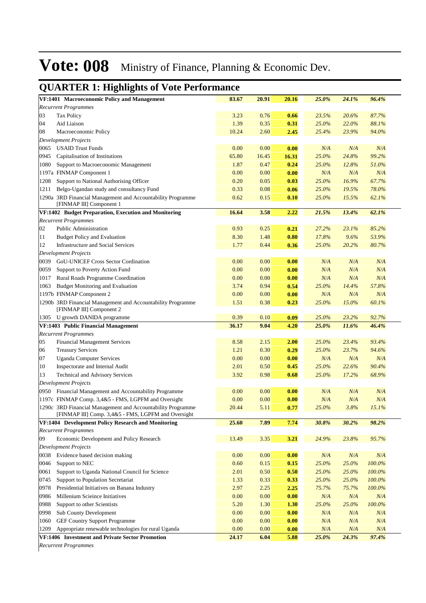#### **VF:1401 Macroeconomic Policy and Management 83.67 20.91 20.16** *25.0% 24.1% 96.4% Recurrent Programmes* 03 Tax Policy 3.23 0.76 **0.66** *23.5% 20.6% 87.7%* 04 Aid Liaison 1.39 0.35 **0.31** *25.0% 22.0% 88.1%* 08 Macroeconomic Policy 10.24 2.60 **2.45** *25.4% 23.9% 94.0% Development Projects* 0065 USAID Trust Funds 0.00 0.00 **0.00** *N/A N/A N/A* 0945 Capitalisation of Institutions 65.80 16.45 **16.31** *25.0% 24.8% 99.2%* 1080 Support to Macroeconomic Management 1.87 0.47 **0.24** *25.0% 12.8% 51.0%* 1197a FINMAP Component 1 0.00 0.00 **0.00** *N/A N/A N/A* 1208 Support to National Authorising Officer 0.20 0.05 **0.03** *25.0% 16.9% 67.7%* 1211 Belgo-Ugandan study and consultancy Fund 0.33 0.08 **0.06** *25.0% 19.5% 78.0%* 3RD Financial Management and Accountability Programme 0.62 0.15 **0.10** *25.0% 15.5% 62.1%* 1290a [FINMAP III] Component 1 **VF:1402 Budget Preparation, Execution and Monitoring 16.64 3.58 2.22** *21.5% 13.4% 62.1% Recurrent Programmes* 02 Public Administration 0.93 0.25 **0.21** *27.2% 23.1% 85.2%* 11 Budget Policy and Evaluation 8.30 1.48 **0.80** *17.8% 9.6% 53.9%* 12 Infrastructure and Social Services 1.77 0.44 **0.36** *25.0% 20.2% 80.7% Development Projects* 0039 GoU-UNICEF Cross Sector Cordination 0.00 0.00 **0.00** *N/A N/A N/A* 0059 Support to Poverty Action Fund 0.00 0.00 **0.00** *N/A N/A N/A* 1017 Rural Roads Programme Coordination 0.00 0.00 **0.00** *N/A N/A N/A* 1063 Budget Monitoring and Evaluation 3.74 0.94 **0.54** *25.0% 14.4% 57.8%* 1197b FINMAP Component 2 0.00 0.00 **0.00** *N/A N/A N/A* 3RD Financial Management and Accountability Programme 1.51 0.38 **0.23** *25.0% 15.0% 60.1%* 1290b [FINMAP III] Component 2 1305 U growth DANIDA programme 0.39 0.10 **0.09** *25.0% 23.2% 92.7%* **VF:1403 Public Financial Management 36.17 9.04 4.20** *25.0% 11.6% 46.4% Recurrent Programmes* 05 Financial Management Services 8.58 2.15 **2.00** *25.0% 23.4% 93.4%* 06 Treasury Services 1.21 0.30 **0.29** *25.0% 23.7% 94.6%* 07 Uganda Computer Services 0.00 0.00 **0.00** *N/A N/A N/A* 10 Inspectorate and Internal Audit 2.01 0.50 **0.45** *25.0% 22.6% 90.4%* 13 Technical and Advisory Services 3.92 0.98 **0.68** *25.0% 17.2% 68.9% Development Projects* 0950 Financial Management and Accountability Programme 0.00 0.00 **0.00** *N/A N/A N/A* 1197c FINMAP Comp. 3,4&5 - FMS, LGPFM and Oversight 0.00 0.00 **0.00** *N/A N/A N/A* 3RD Financial Management and Accountability Programme 20.44 5.11 **0.77** *25.0% 3.8% 15.1%* 1290c [FINMAP III] Comp. 3,4&5 - FMS, LGPFM and Oversight **VF:1404 Development Policy Research and Monitoring 25.60 7.89 7.74** *30.8% 30.2% 98.2% Recurrent Programmes* 09 Economic Development and Policy Research 13.49 3.35 **3.21** *24.9% 23.8% 95.7% Development Projects* 0038 Evidence based decision making 0.00 0.00 **0.00** *N/A N/A N/A* 0046 Support to NEC 0.60 0.15 **0.15** *25.0% 25.0% 100.0%* 0061 Support to Uganda National Council for Science 2.01 0.50 **0.50** *25.0% 25.0% 100.0%* 0745 Support to Population Secretariat 1.33 0.33 **0.33** *25.0% 25.0% 100.0%* 0978 Presidential Initiatives on Banana Industry 2.97 2.25 **2.25** *75.7% 75.7% 100.0%* 0986 Millenium Scieince Initiatives 0.00 0.00 **0.00** *N/A N/A N/A* 0988 Support to other Scientists 5.20 1.30 **1.30** *25.0% 25.0% 100.0%* 0998 Sub County Development 0.00 0.00 **0.00** *N/A N/A N/A* 1060 GEF Country Support Programme 0.00 0.00 **0.00** *N/A N/A N/A* 1209 Appropriate renewable technologies for rural Uganda 0.00 0.00 **0.00** *N/A N/A N/A* **VF:1406 Investment and Private Sector Promotion 24.17 6.04 5.88** *25.0% 24.3% 97.4%*

#### **QUARTER 1: Highlights of Vote Performance**

*Recurrent Programmes*